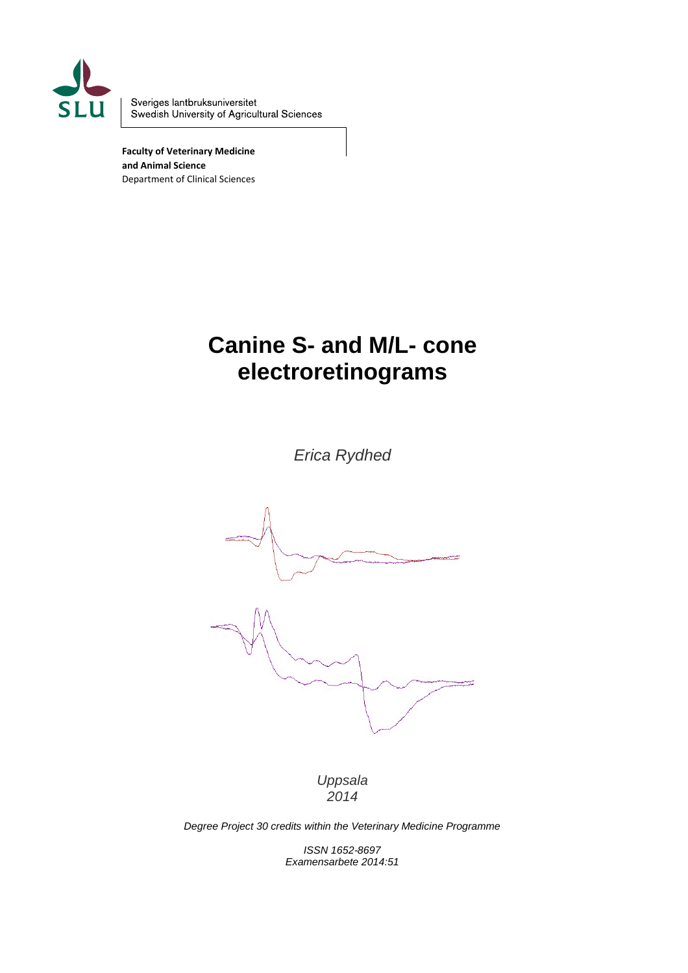

Sveriges lantbruksuniversitet Swedish University of Agricultural Sciences

**Faculty of Veterinary Medicine and Animal Science** Department of Clinical Sciences

# **Canine S- and M/L- cone electroretinograms**

*Erica Rydhed*



*Uppsala 2014*

*Degree Project 30 credits within the Veterinary Medicine Programme*

*ISSN 1652-8697 Examensarbete 2014:51*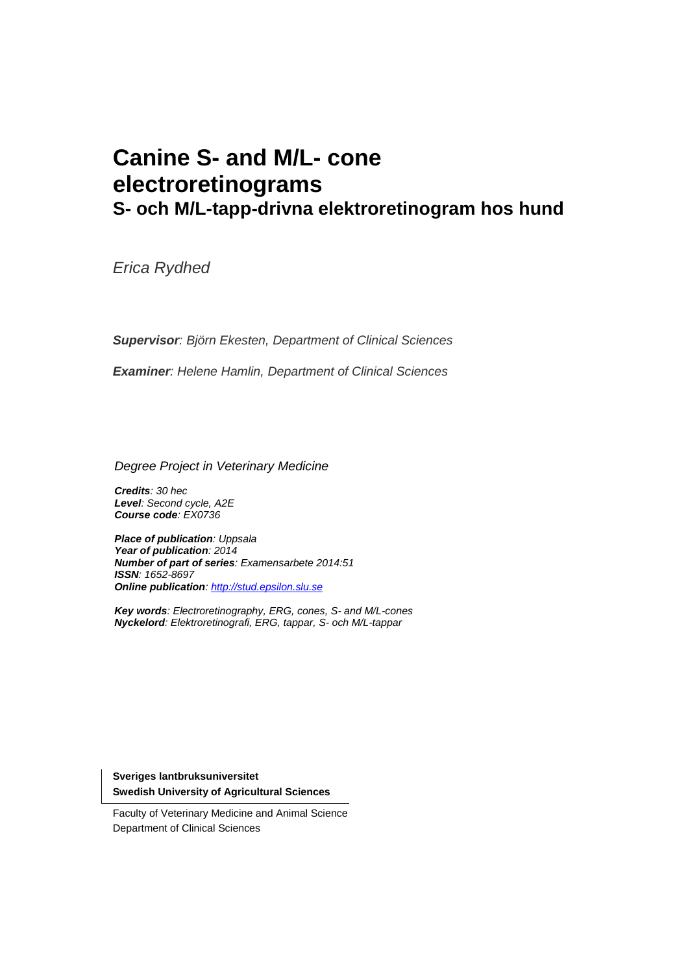# **Canine S- and M/L- cone electroretinograms S- och M/L-tapp-drivna elektroretinogram hos hund**

*Erica Rydhed*

*Supervisor: Björn Ekesten, Department of Clinical Sciences*

*Examiner: Helene Hamlin, Department of Clinical Sciences*

*Degree Project in Veterinary Medicine*

*Credits: 30 hec Level: Second cycle, A2E Course code: EX0736*

*Place of publication: Uppsala Year of publication: 2014 Number of part of series: Examensarbete 2014:51 ISSN: 1652-8697 Online publication[: http://stud.epsilon.slu.se](http://stud.epsilon.slu.se/)*

*Key words: Electroretinography, ERG, cones, S- and M/L-cones Nyckelord: Elektroretinografi, ERG, tappar, S- och M/L-tappar*

**Sveriges lantbruksuniversitet Swedish University of Agricultural Sciences**

Faculty of Veterinary Medicine and Animal Science Department of Clinical Sciences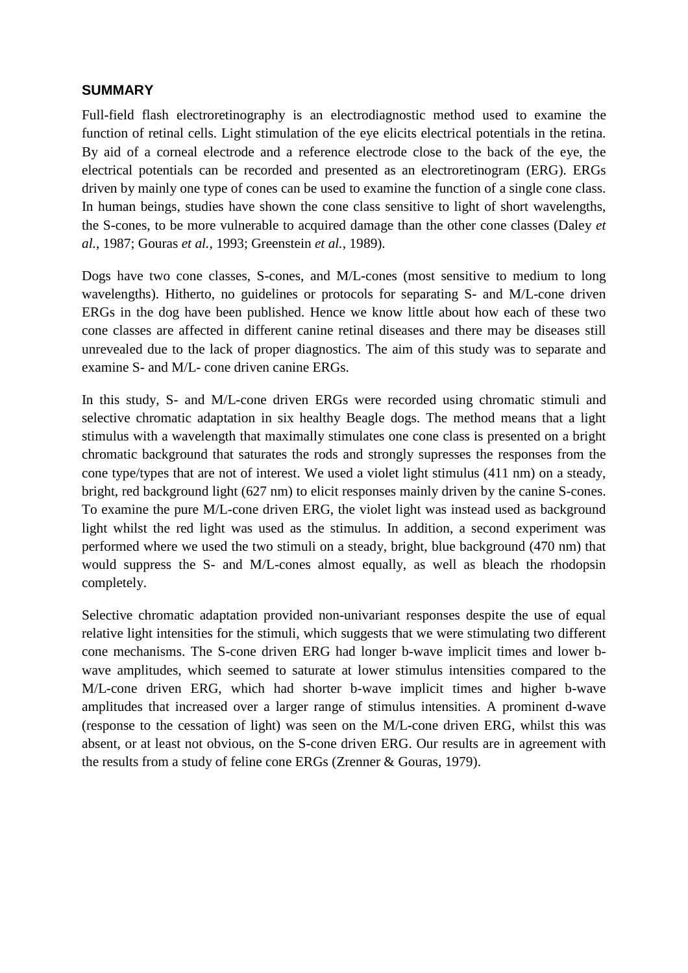## **SUMMARY**

Full-field flash electroretinography is an electrodiagnostic method used to examine the function of retinal cells. Light stimulation of the eye elicits electrical potentials in the retina. By aid of a corneal electrode and a reference electrode close to the back of the eye, the electrical potentials can be recorded and presented as an electroretinogram (ERG). ERGs driven by mainly one type of cones can be used to examine the function of a single cone class. In human beings, studies have shown the cone class sensitive to light of short wavelengths, the S-cones, to be more vulnerable to acquired damage than the other cone classes (Daley *et al.*, 1987; Gouras *et al.*, 1993; Greenstein *et al.*, 1989).

Dogs have two cone classes, S-cones, and M/L-cones (most sensitive to medium to long wavelengths). Hitherto, no guidelines or protocols for separating S- and M/L-cone driven ERGs in the dog have been published. Hence we know little about how each of these two cone classes are affected in different canine retinal diseases and there may be diseases still unrevealed due to the lack of proper diagnostics. The aim of this study was to separate and examine S- and M/L- cone driven canine ERGs.

In this study, S- and M/L-cone driven ERGs were recorded using chromatic stimuli and selective chromatic adaptation in six healthy Beagle dogs. The method means that a light stimulus with a wavelength that maximally stimulates one cone class is presented on a bright chromatic background that saturates the rods and strongly supresses the responses from the cone type/types that are not of interest. We used a violet light stimulus (411 nm) on a steady, bright, red background light (627 nm) to elicit responses mainly driven by the canine S-cones. To examine the pure M/L-cone driven ERG, the violet light was instead used as background light whilst the red light was used as the stimulus. In addition, a second experiment was performed where we used the two stimuli on a steady, bright, blue background (470 nm) that would suppress the S- and M/L-cones almost equally, as well as bleach the rhodopsin completely.

Selective chromatic adaptation provided non-univariant responses despite the use of equal relative light intensities for the stimuli, which suggests that we were stimulating two different cone mechanisms. The S-cone driven ERG had longer b-wave implicit times and lower bwave amplitudes, which seemed to saturate at lower stimulus intensities compared to the M/L-cone driven ERG, which had shorter b-wave implicit times and higher b-wave amplitudes that increased over a larger range of stimulus intensities. A prominent d-wave (response to the cessation of light) was seen on the M/L-cone driven ERG, whilst this was absent, or at least not obvious, on the S-cone driven ERG. Our results are in agreement with the results from a study of feline cone ERGs (Zrenner & Gouras, 1979).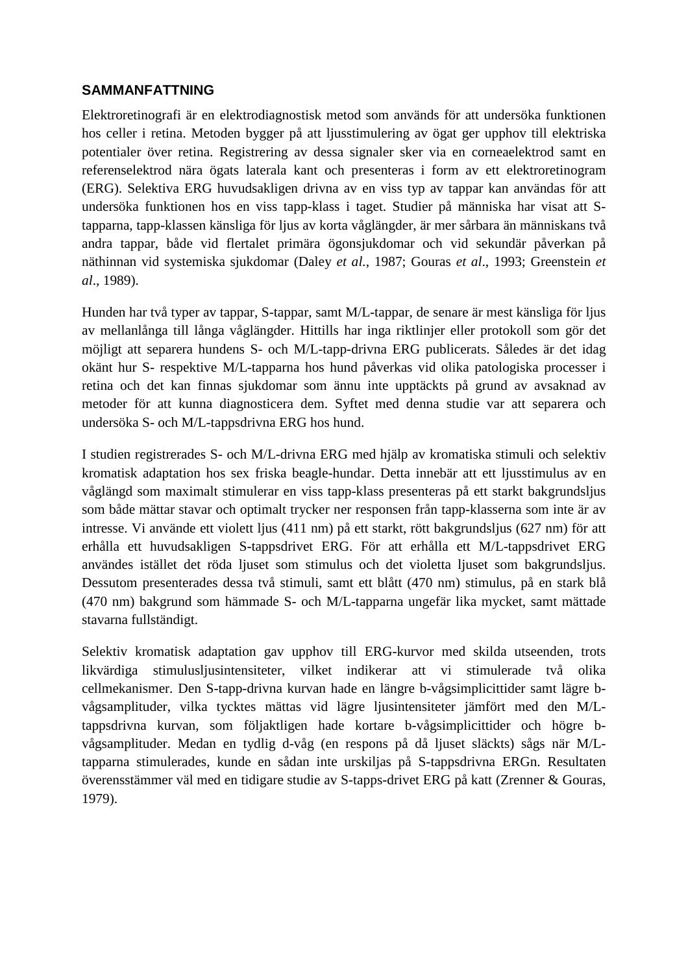# **SAMMANFATTNING**

Elektroretinografi är en elektrodiagnostisk metod som används för att undersöka funktionen hos celler i retina. Metoden bygger på att ljusstimulering av ögat ger upphov till elektriska potentialer över retina. Registrering av dessa signaler sker via en corneaelektrod samt en referenselektrod nära ögats laterala kant och presenteras i form av ett elektroretinogram (ERG). Selektiva ERG huvudsakligen drivna av en viss typ av tappar kan användas för att undersöka funktionen hos en viss tapp-klass i taget. Studier på människa har visat att Stapparna, tapp-klassen känsliga för ljus av korta våglängder, är mer sårbara än människans två andra tappar, både vid flertalet primära ögonsjukdomar och vid sekundär påverkan på näthinnan vid systemiska sjukdomar (Daley *et al.*, 1987; Gouras *et al*., 1993; Greenstein *et al*., 1989).

Hunden har två typer av tappar, S-tappar, samt M/L-tappar, de senare är mest känsliga för ljus av mellanlånga till långa våglängder. Hittills har inga riktlinjer eller protokoll som gör det möjligt att separera hundens S- och M/L-tapp-drivna ERG publicerats. Således är det idag okänt hur S- respektive M/L-tapparna hos hund påverkas vid olika patologiska processer i retina och det kan finnas sjukdomar som ännu inte upptäckts på grund av avsaknad av metoder för att kunna diagnosticera dem. Syftet med denna studie var att separera och undersöka S- och M/L-tappsdrivna ERG hos hund.

I studien registrerades S- och M/L-drivna ERG med hjälp av kromatiska stimuli och selektiv kromatisk adaptation hos sex friska beagle-hundar. Detta innebär att ett ljusstimulus av en våglängd som maximalt stimulerar en viss tapp-klass presenteras på ett starkt bakgrundsljus som både mättar stavar och optimalt trycker ner responsen från tapp-klasserna som inte är av intresse. Vi använde ett violett ljus (411 nm) på ett starkt, rött bakgrundsljus (627 nm) för att erhålla ett huvudsakligen S-tappsdrivet ERG. För att erhålla ett M/L-tappsdrivet ERG användes istället det röda ljuset som stimulus och det violetta ljuset som bakgrundsljus. Dessutom presenterades dessa två stimuli, samt ett blått (470 nm) stimulus, på en stark blå (470 nm) bakgrund som hämmade S- och M/L-tapparna ungefär lika mycket, samt mättade stavarna fullständigt.

Selektiv kromatisk adaptation gav upphov till ERG-kurvor med skilda utseenden, trots likvärdiga stimulusljusintensiteter, vilket indikerar att vi stimulerade två olika cellmekanismer. Den S-tapp-drivna kurvan hade en längre b-vågsimplicittider samt lägre bvågsamplituder, vilka tycktes mättas vid lägre ljusintensiteter jämfört med den M/Ltappsdrivna kurvan, som följaktligen hade kortare b-vågsimplicittider och högre bvågsamplituder. Medan en tydlig d-våg (en respons på då ljuset släckts) sågs när M/Ltapparna stimulerades, kunde en sådan inte urskiljas på S-tappsdrivna ERGn. Resultaten överensstämmer väl med en tidigare studie av S-tapps-drivet ERG på katt (Zrenner & Gouras, 1979).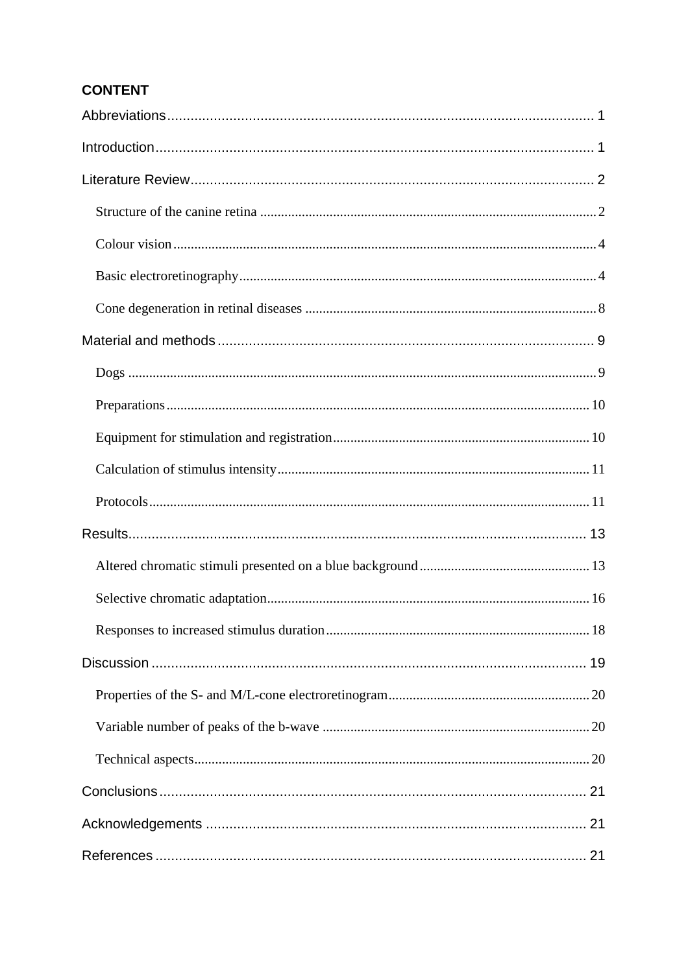# **CONTENT**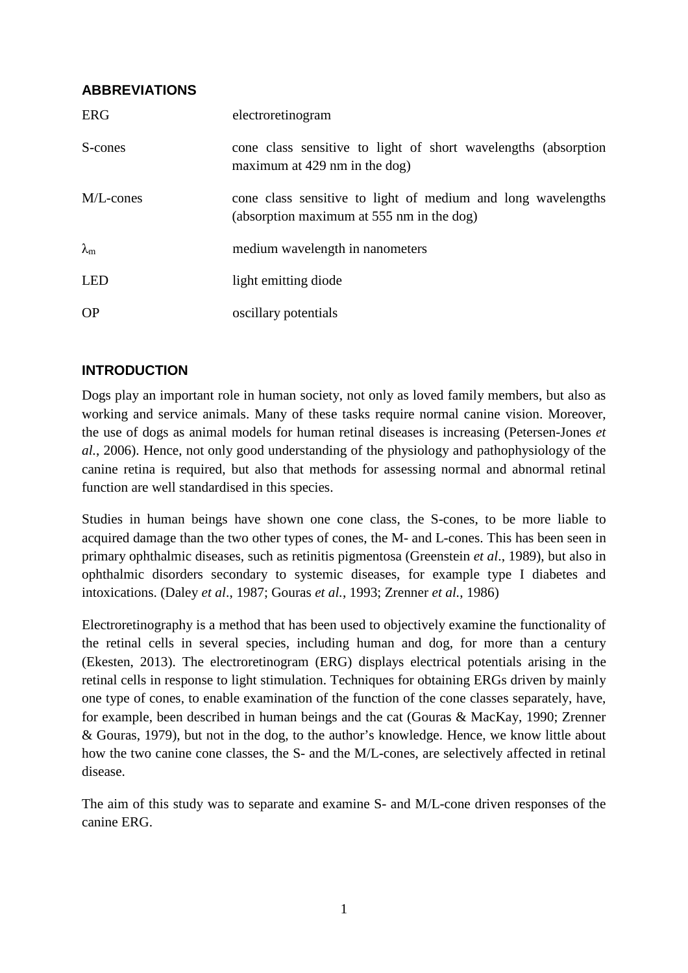# **ABBREVIATIONS**

| <b>ERG</b>        | electroretinogram                                                                                         |
|-------------------|-----------------------------------------------------------------------------------------------------------|
| S-cones           | cone class sensitive to light of short wavelengths (absorption<br>maximum at $429$ nm in the dog)         |
| M/L-cones         | cone class sensitive to light of medium and long wavelengths<br>(absorption maximum at 555 nm in the dog) |
| $\lambda_{\rm m}$ | medium wavelength in nanometers                                                                           |
| <b>LED</b>        | light emitting diode                                                                                      |
| <b>OP</b>         | oscillary potentials                                                                                      |

# **INTRODUCTION**

Dogs play an important role in human society, not only as loved family members, but also as working and service animals. Many of these tasks require normal canine vision. Moreover, the use of dogs as animal models for human retinal diseases is increasing (Petersen-Jones *et al.*, 2006). Hence, not only good understanding of the physiology and pathophysiology of the canine retina is required, but also that methods for assessing normal and abnormal retinal function are well standardised in this species.

Studies in human beings have shown one cone class, the S-cones, to be more liable to acquired damage than the two other types of cones, the M- and L-cones. This has been seen in primary ophthalmic diseases, such as retinitis pigmentosa (Greenstein *et al*., 1989), but also in ophthalmic disorders secondary to systemic diseases, for example type I diabetes and intoxications. (Daley *et al*., 1987; Gouras *et al.*, 1993; Zrenner *et al.*, 1986)

Electroretinography is a method that has been used to objectively examine the functionality of the retinal cells in several species, including human and dog, for more than a century (Ekesten, 2013). The electroretinogram (ERG) displays electrical potentials arising in the retinal cells in response to light stimulation. Techniques for obtaining ERGs driven by mainly one type of cones, to enable examination of the function of the cone classes separately, have, for example, been described in human beings and the cat (Gouras & MacKay, 1990; Zrenner & Gouras, 1979), but not in the dog, to the author's knowledge. Hence, we know little about how the two canine cone classes, the S- and the M/L-cones, are selectively affected in retinal disease.

The aim of this study was to separate and examine S- and M/L-cone driven responses of the canine ERG.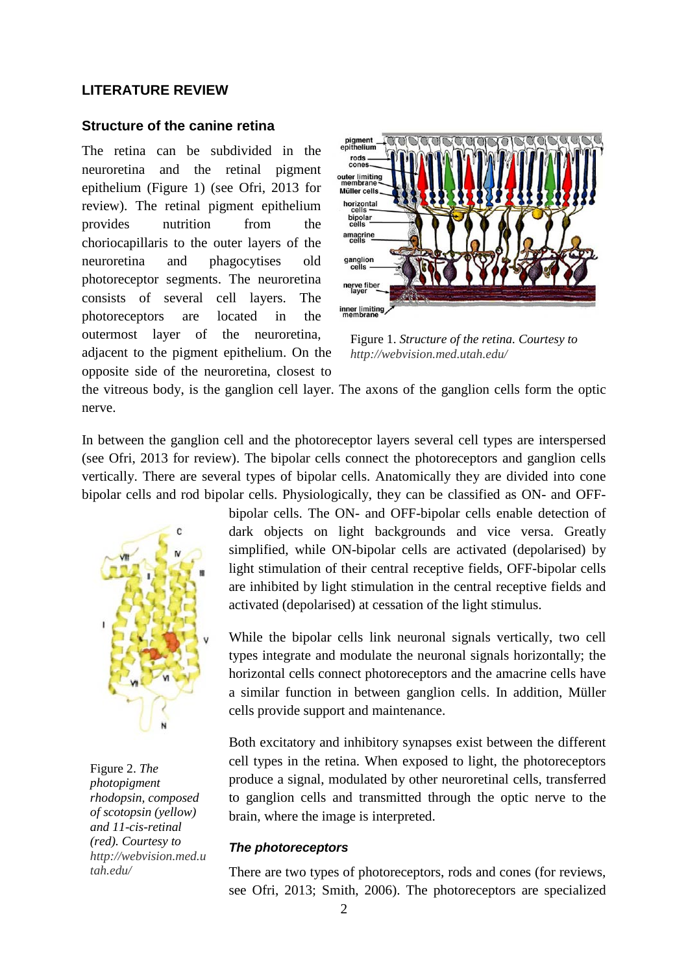## **LITERATURE REVIEW**

### **Structure of the canine retina**

The retina can be subdivided in the neuroretina and the retinal pigment epithelium (Figure 1) (see Ofri, 2013 for review). The retinal pigment epithelium provides nutrition from the choriocapillaris to the outer layers of the neuroretina and phagocytises old photoreceptor segments. The neuroretina consists of several cell layers. The photoreceptors are located in the outermost layer of the neuroretina, adjacent to the pigment epithelium. On the opposite side of the neuroretina, closest to



Figure 1. *Structure of the retina. Courtesy to http://webvision.med.utah.edu/*

the vitreous body, is the ganglion cell layer. The axons of the ganglion cells form the optic nerve.

In between the ganglion cell and the photoreceptor layers several cell types are interspersed (see Ofri, 2013 for review). The bipolar cells connect the photoreceptors and ganglion cells vertically. There are several types of bipolar cells. Anatomically they are divided into cone bipolar cells and rod bipolar cells. Physiologically, they can be classified as ON- and OFF-



Figure 2. *The photopigment rhodopsin, composed of scotopsin (yellow) and 11-cis-retinal (red). Courtesy to http://webvision.med.u tah.edu/*

bipolar cells. The ON- and OFF-bipolar cells enable detection of dark objects on light backgrounds and vice versa. Greatly simplified, while ON-bipolar cells are activated (depolarised) by light stimulation of their central receptive fields, OFF-bipolar cells are inhibited by light stimulation in the central receptive fields and activated (depolarised) at cessation of the light stimulus.

While the bipolar cells link neuronal signals vertically, two cell types integrate and modulate the neuronal signals horizontally; the horizontal cells connect photoreceptors and the amacrine cells have a similar function in between ganglion cells. In addition, Müller cells provide support and maintenance.

Both excitatory and inhibitory synapses exist between the different cell types in the retina. When exposed to light, the photoreceptors produce a signal, modulated by other neuroretinal cells, transferred to ganglion cells and transmitted through the optic nerve to the brain, where the image is interpreted.

#### *The photoreceptors*

There are two types of photoreceptors, rods and cones (for reviews, see Ofri, 2013; Smith, 2006). The photoreceptors are specialized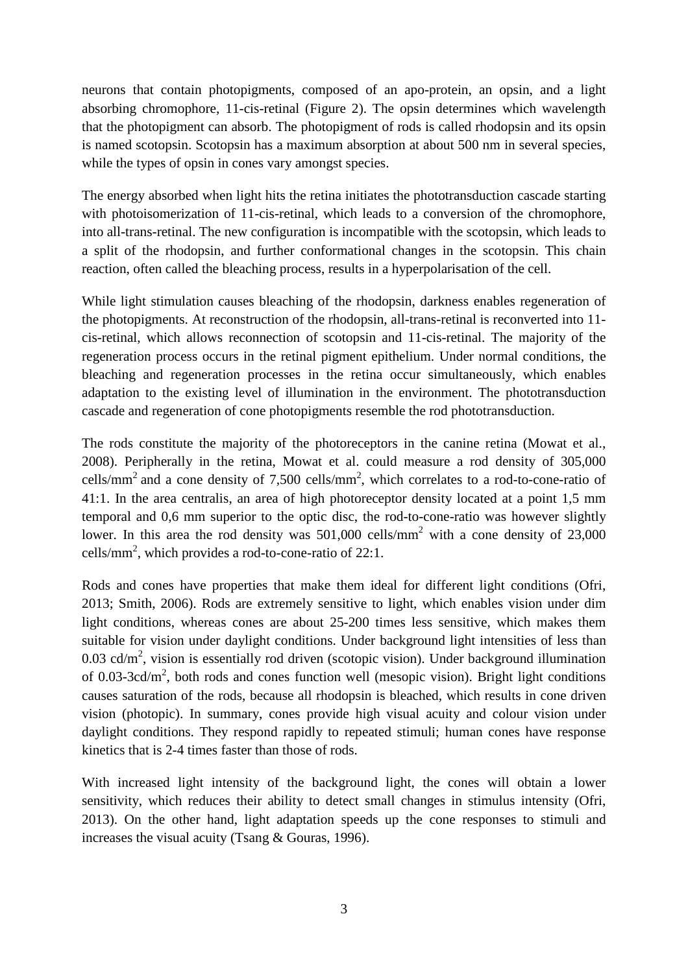neurons that contain photopigments, composed of an apo-protein, an opsin, and a light absorbing chromophore, 11-cis-retinal (Figure 2). The opsin determines which wavelength that the photopigment can absorb. The photopigment of rods is called rhodopsin and its opsin is named scotopsin. Scotopsin has a maximum absorption at about 500 nm in several species, while the types of opsin in cones vary amongst species.

The energy absorbed when light hits the retina initiates the phototransduction cascade starting with photoisomerization of 11-cis-retinal, which leads to a conversion of the chromophore, into all-trans-retinal. The new configuration is incompatible with the scotopsin, which leads to a split of the rhodopsin, and further conformational changes in the scotopsin. This chain reaction, often called the bleaching process, results in a hyperpolarisation of the cell.

While light stimulation causes bleaching of the rhodopsin, darkness enables regeneration of the photopigments. At reconstruction of the rhodopsin, all-trans-retinal is reconverted into 11 cis-retinal, which allows reconnection of scotopsin and 11-cis-retinal. The majority of the regeneration process occurs in the retinal pigment epithelium. Under normal conditions, the bleaching and regeneration processes in the retina occur simultaneously, which enables adaptation to the existing level of illumination in the environment. The phototransduction cascade and regeneration of cone photopigments resemble the rod phototransduction.

The rods constitute the majority of the photoreceptors in the canine retina (Mowat et al., 2008). Peripherally in the retina, Mowat et al. could measure a rod density of 305,000 cells/mm<sup>2</sup> and a cone density of 7,500 cells/mm<sup>2</sup>, which correlates to a rod-to-cone-ratio of 41:1. In the area centralis, an area of high photoreceptor density located at a point 1,5 mm temporal and 0,6 mm superior to the optic disc, the rod-to-cone-ratio was however slightly lower. In this area the rod density was  $501,000$  cells/mm<sup>2</sup> with a cone density of 23,000 cells/mm<sup>2</sup>, which provides a rod-to-cone-ratio of 22:1.

Rods and cones have properties that make them ideal for different light conditions (Ofri, 2013; Smith, 2006). Rods are extremely sensitive to light, which enables vision under dim light conditions, whereas cones are about 25-200 times less sensitive, which makes them suitable for vision under daylight conditions. Under background light intensities of less than 0.03 cd/ $m<sup>2</sup>$ , vision is essentially rod driven (scotopic vision). Under background illumination of 0.03-3cd/ $m^2$ , both rods and cones function well (mesopic vision). Bright light conditions causes saturation of the rods, because all rhodopsin is bleached, which results in cone driven vision (photopic). In summary, cones provide high visual acuity and colour vision under daylight conditions. They respond rapidly to repeated stimuli; human cones have response kinetics that is 2-4 times faster than those of rods.

With increased light intensity of the background light, the cones will obtain a lower sensitivity, which reduces their ability to detect small changes in stimulus intensity (Ofri, 2013). On the other hand, light adaptation speeds up the cone responses to stimuli and increases the visual acuity (Tsang & Gouras, 1996).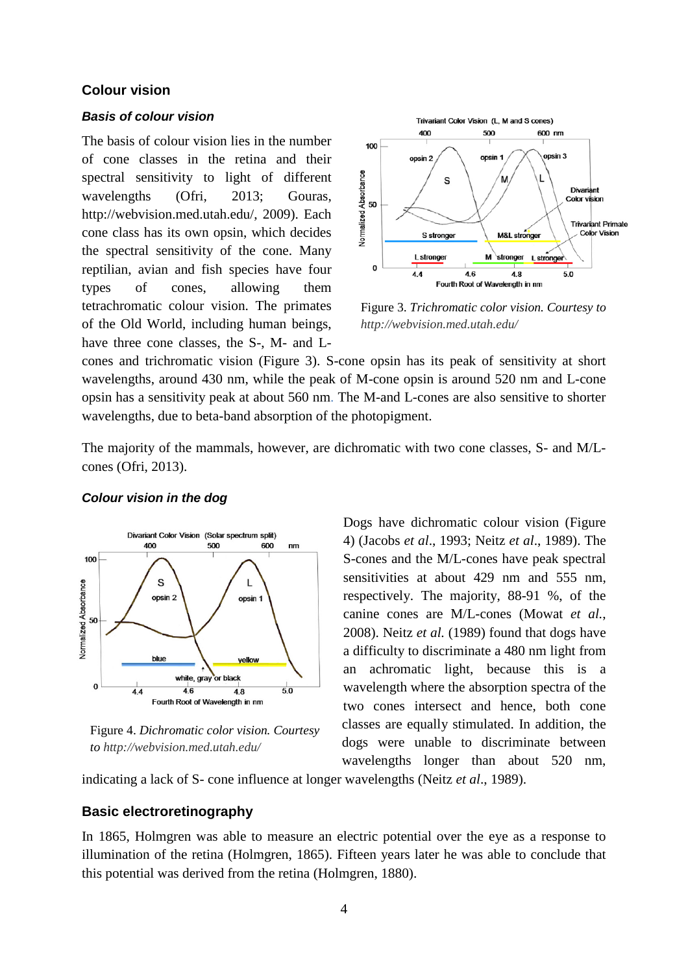## **Colour vision**

#### *Basis of colour vision*

The basis of colour vision lies in the number of cone classes in the retina and their spectral sensitivity to light of different wavelengths (Ofri, 2013; Gouras, [http://webvision.med.utah.edu/,](http://webvision.med.utah.edu/) 2009). Each cone class has its own opsin, which decides the spectral sensitivity of the cone. Many reptilian, avian and fish species have four types of cones, allowing them tetrachromatic colour vision. The primates of the Old World, including human beings, have three cone classes, the S-, M- and L-



Figure 3. *Trichromatic color vision. Courtesy to http://webvision.med.utah.edu/*

cones and trichromatic vision (Figure 3). S-cone opsin has its peak of sensitivity at short wavelengths, around 430 nm, while the peak of M-cone opsin is around 520 nm and L-cone opsin has a sensitivity peak at about 560 nm. The M-and L-cones are also sensitive to shorter wavelengths, due to beta-band absorption of the photopigment.

The majority of the mammals, however, are dichromatic with two cone classes, S- and M/Lcones (Ofri, 2013).



#### *Colour vision in the dog*

Figure 4. *Dichromatic color vision. Courtesy to http://webvision.med.utah.edu/*

Dogs have dichromatic colour vision (Figure 4) (Jacobs *et al*., 1993; Neitz *et al*., 1989). The S-cones and the M/L-cones have peak spectral sensitivities at about 429 nm and 555 nm, respectively. The majority, 88-91 %, of the canine cones are M/L-cones (Mowat *et al.*, 2008). Neitz *et al.* (1989) found that dogs have a difficulty to discriminate a 480 nm light from an achromatic light, because this is a wavelength where the absorption spectra of the two cones intersect and hence, both cone classes are equally stimulated. In addition, the dogs were unable to discriminate between wavelengths longer than about 520 nm,

indicating a lack of S- cone influence at longer wavelengths (Neitz *et al*., 1989).

## **Basic electroretinography**

In 1865, Holmgren was able to measure an electric potential over the eye as a response to illumination of the retina (Holmgren, 1865). Fifteen years later he was able to conclude that this potential was derived from the retina (Holmgren, 1880).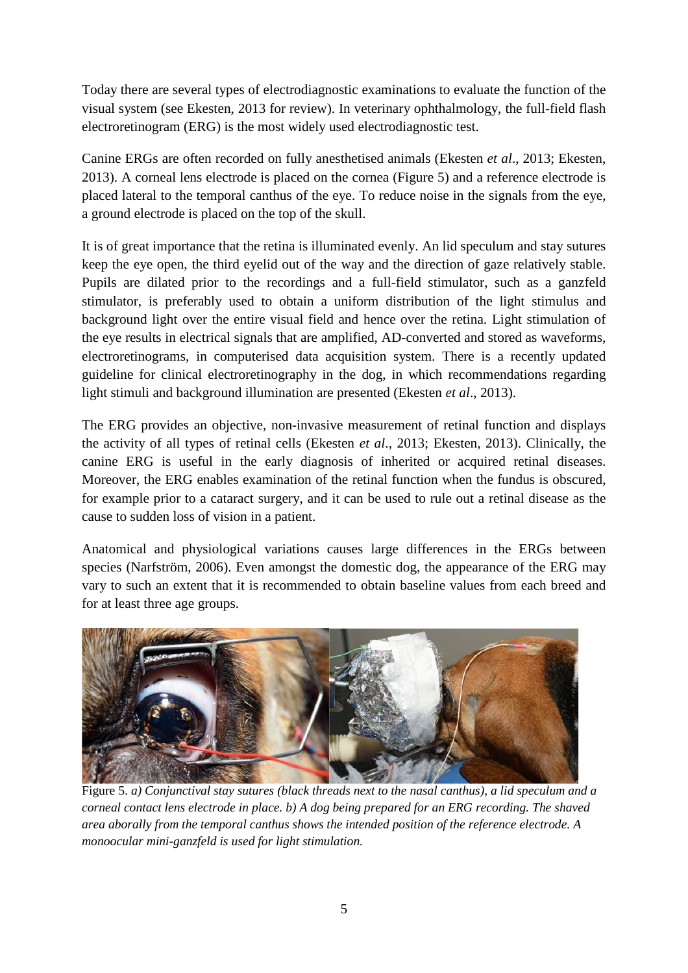Today there are several types of electrodiagnostic examinations to evaluate the function of the visual system (see Ekesten, 2013 for review). In veterinary ophthalmology, the full-field flash electroretinogram (ERG) is the most widely used electrodiagnostic test.

Canine ERGs are often recorded on fully anesthetised animals (Ekesten *et al*., 2013; Ekesten, 2013). A corneal lens electrode is placed on the cornea (Figure 5) and a reference electrode is placed lateral to the temporal canthus of the eye. To reduce noise in the signals from the eye, a ground electrode is placed on the top of the skull.

It is of great importance that the retina is illuminated evenly. An lid speculum and stay sutures keep the eye open, the third eyelid out of the way and the direction of gaze relatively stable. Pupils are dilated prior to the recordings and a full-field stimulator, such as a ganzfeld stimulator, is preferably used to obtain a uniform distribution of the light stimulus and background light over the entire visual field and hence over the retina. Light stimulation of the eye results in electrical signals that are amplified, AD-converted and stored as waveforms, electroretinograms, in computerised data acquisition system. There is a recently updated guideline for clinical electroretinography in the dog, in which recommendations regarding light stimuli and background illumination are presented (Ekesten *et al*., 2013).

The ERG provides an objective, non-invasive measurement of retinal function and displays the activity of all types of retinal cells (Ekesten *et al*., 2013; Ekesten, 2013). Clinically, the canine ERG is useful in the early diagnosis of inherited or acquired retinal diseases. Moreover, the ERG enables examination of the retinal function when the fundus is obscured, for example prior to a cataract surgery, and it can be used to rule out a retinal disease as the cause to sudden loss of vision in a patient.

Anatomical and physiological variations causes large differences in the ERGs between species (Narfström, 2006). Even amongst the domestic dog, the appearance of the ERG may vary to such an extent that it is recommended to obtain baseline values from each breed and for at least three age groups.



Figure 5. *a) Conjunctival stay sutures (black threads next to the nasal canthus), a lid speculum and a corneal contact lens electrode in place. b) A dog being prepared for an ERG recording. The shaved area aborally from the temporal canthus shows the intended position of the reference electrode. A monoocular mini-ganzfeld is used for light stimulation.*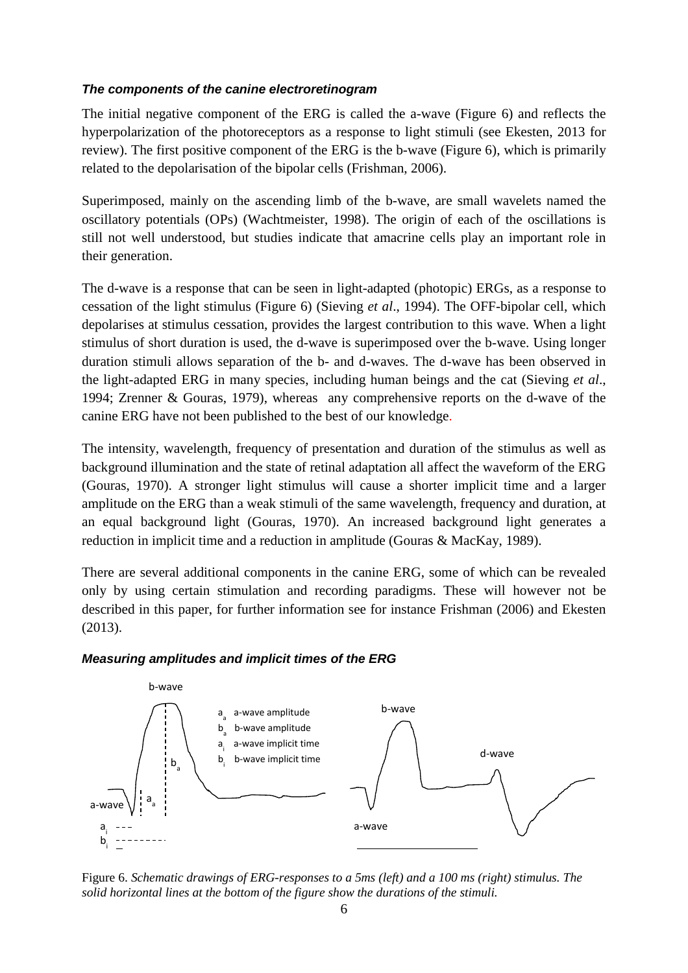## *The components of the canine electroretinogram*

The initial negative component of the ERG is called the a-wave (Figure 6) and reflects the hyperpolarization of the photoreceptors as a response to light stimuli (see Ekesten, 2013 for review). The first positive component of the ERG is the b-wave (Figure 6), which is primarily related to the depolarisation of the bipolar cells (Frishman, 2006).

Superimposed, mainly on the ascending limb of the b-wave, are small wavelets named the oscillatory potentials (OPs) (Wachtmeister, 1998). The origin of each of the oscillations is still not well understood, but studies indicate that amacrine cells play an important role in their generation.

The d-wave is a response that can be seen in light-adapted (photopic) ERGs, as a response to cessation of the light stimulus (Figure 6) (Sieving *et al*., 1994). The OFF-bipolar cell, which depolarises at stimulus cessation, provides the largest contribution to this wave. When a light stimulus of short duration is used, the d-wave is superimposed over the b-wave. Using longer duration stimuli allows separation of the b- and d-waves. The d-wave has been observed in the light-adapted ERG in many species, including human beings and the cat (Sieving *et al*., 1994; Zrenner & Gouras, 1979), whereas any comprehensive reports on the d-wave of the canine ERG have not been published to the best of our knowledge.

The intensity, wavelength, frequency of presentation and duration of the stimulus as well as background illumination and the state of retinal adaptation all affect the waveform of the ERG (Gouras, 1970). A stronger light stimulus will cause a shorter implicit time and a larger amplitude on the ERG than a weak stimuli of the same wavelength, frequency and duration, at an equal background light (Gouras, 1970). An increased background light generates a reduction in implicit time and a reduction in amplitude (Gouras & MacKay, 1989).

There are several additional components in the canine ERG, some of which can be revealed only by using certain stimulation and recording paradigms. These will however not be described in this paper, for further information see for instance Frishman (2006) and Ekesten (2013).

# *Measuring amplitudes and implicit times of the ERG*



Figure 6. *Schematic drawings of ERG-responses to a 5ms (left) and a 100 ms (right) stimulus. The solid horizontal lines at the bottom of the figure show the durations of the stimuli.*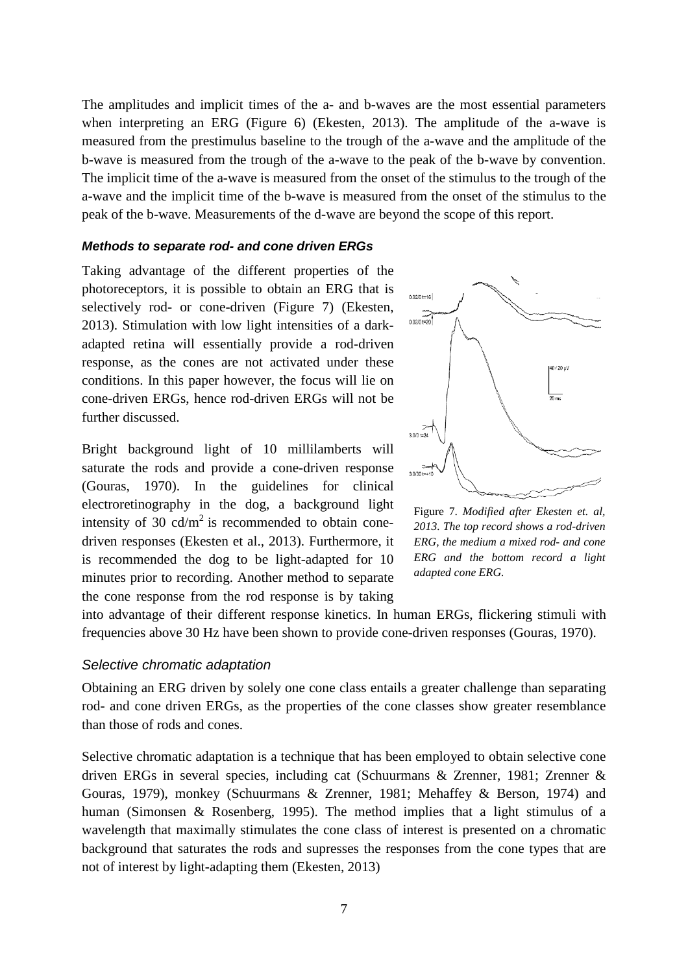The amplitudes and implicit times of the a- and b-waves are the most essential parameters when interpreting an ERG (Figure 6) (Ekesten, 2013). The amplitude of the a-wave is measured from the prestimulus baseline to the trough of the a-wave and the amplitude of the b-wave is measured from the trough of the a-wave to the peak of the b-wave by convention. The implicit time of the a-wave is measured from the onset of the stimulus to the trough of the a-wave and the implicit time of the b-wave is measured from the onset of the stimulus to the peak of the b-wave. Measurements of the d-wave are beyond the scope of this report.

#### *Methods to separate rod- and cone driven ERGs*

Taking advantage of the different properties of the photoreceptors, it is possible to obtain an ERG that is selectively rod- or cone-driven (Figure 7) (Ekesten, 2013). Stimulation with low light intensities of a darkadapted retina will essentially provide a rod-driven response, as the cones are not activated under these conditions. In this paper however, the focus will lie on cone-driven ERGs, hence rod-driven ERGs will not be further discussed.

Bright background light of 10 millilamberts will saturate the rods and provide a cone-driven response (Gouras, 1970). In the guidelines for clinical electroretinography in the dog, a background light intensity of 30  $\text{cd/m}^2$  is recommended to obtain conedriven responses (Ekesten et al., 2013). Furthermore, it is recommended the dog to be light-adapted for 10 minutes prior to recording. Another method to separate the cone response from the rod response is by taking



Figure 7. *Modified after Ekesten et. al, 2013. The top record shows a rod-driven ERG, the medium a mixed rod- and cone ERG and the bottom record a light adapted cone ERG.*

into advantage of their different response kinetics. In human ERGs, flickering stimuli with frequencies above 30 Hz have been shown to provide cone-driven responses (Gouras, 1970).

#### *Selective chromatic adaptation*

Obtaining an ERG driven by solely one cone class entails a greater challenge than separating rod- and cone driven ERGs, as the properties of the cone classes show greater resemblance than those of rods and cones.

Selective chromatic adaptation is a technique that has been employed to obtain selective cone driven ERGs in several species, including cat (Schuurmans & Zrenner, 1981; Zrenner & Gouras, 1979), monkey (Schuurmans & Zrenner, 1981; Mehaffey & Berson, 1974) and human (Simonsen & Rosenberg, 1995). The method implies that a light stimulus of a wavelength that maximally stimulates the cone class of interest is presented on a chromatic background that saturates the rods and supresses the responses from the cone types that are not of interest by light-adapting them (Ekesten, 2013)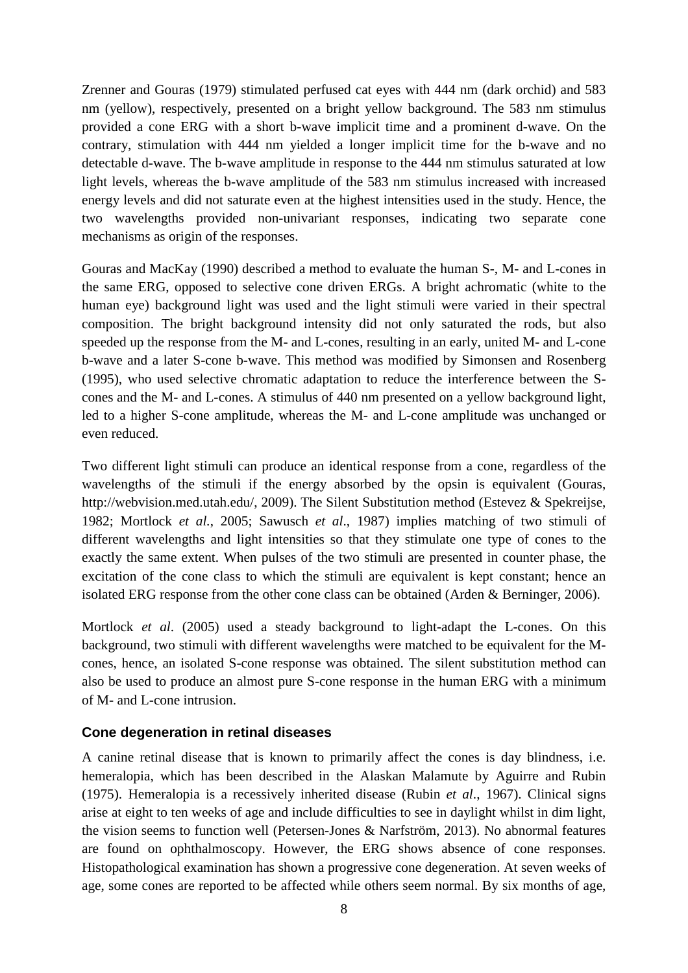Zrenner and Gouras (1979) stimulated perfused cat eyes with 444 nm (dark orchid) and 583 nm (yellow), respectively, presented on a bright yellow background. The 583 nm stimulus provided a cone ERG with a short b-wave implicit time and a prominent d-wave. On the contrary, stimulation with 444 nm yielded a longer implicit time for the b-wave and no detectable d-wave. The b-wave amplitude in response to the 444 nm stimulus saturated at low light levels, whereas the b-wave amplitude of the 583 nm stimulus increased with increased energy levels and did not saturate even at the highest intensities used in the study. Hence, the two wavelengths provided non-univariant responses, indicating two separate cone mechanisms as origin of the responses.

Gouras and MacKay (1990) described a method to evaluate the human S-, M- and L-cones in the same ERG, opposed to selective cone driven ERGs. A bright achromatic (white to the human eye) background light was used and the light stimuli were varied in their spectral composition. The bright background intensity did not only saturated the rods, but also speeded up the response from the M- and L-cones, resulting in an early, united M- and L-cone b-wave and a later S-cone b-wave. This method was modified by Simonsen and Rosenberg (1995), who used selective chromatic adaptation to reduce the interference between the Scones and the M- and L-cones. A stimulus of 440 nm presented on a yellow background light, led to a higher S-cone amplitude, whereas the M- and L-cone amplitude was unchanged or even reduced.

Two different light stimuli can produce an identical response from a cone, regardless of the wavelengths of the stimuli if the energy absorbed by the opsin is equivalent (Gouras, [http://webvision.med.utah.edu/,](http://webvision.med.utah.edu/) 2009). The Silent Substitution method (Estevez & Spekreijse, 1982; Mortlock *et al.*, 2005; Sawusch *et al*., 1987) implies matching of two stimuli of different wavelengths and light intensities so that they stimulate one type of cones to the exactly the same extent. When pulses of the two stimuli are presented in counter phase, the excitation of the cone class to which the stimuli are equivalent is kept constant; hence an isolated ERG response from the other cone class can be obtained (Arden & Berninger, 2006).

Mortlock *et al*. (2005) used a steady background to light-adapt the L-cones. On this background, two stimuli with different wavelengths were matched to be equivalent for the Mcones, hence, an isolated S-cone response was obtained. The silent substitution method can also be used to produce an almost pure S-cone response in the human ERG with a minimum of M- and L-cone intrusion.

# **Cone degeneration in retinal diseases**

A canine retinal disease that is known to primarily affect the cones is day blindness, i.e. hemeralopia, which has been described in the Alaskan Malamute by Aguirre and Rubin (1975). Hemeralopia is a recessively inherited disease (Rubin *et al*., 1967). Clinical signs arise at eight to ten weeks of age and include difficulties to see in daylight whilst in dim light, the vision seems to function well (Petersen-Jones & Narfström, 2013). No abnormal features are found on ophthalmoscopy. However, the ERG shows absence of cone responses. Histopathological examination has shown a progressive cone degeneration. At seven weeks of age, some cones are reported to be affected while others seem normal. By six months of age,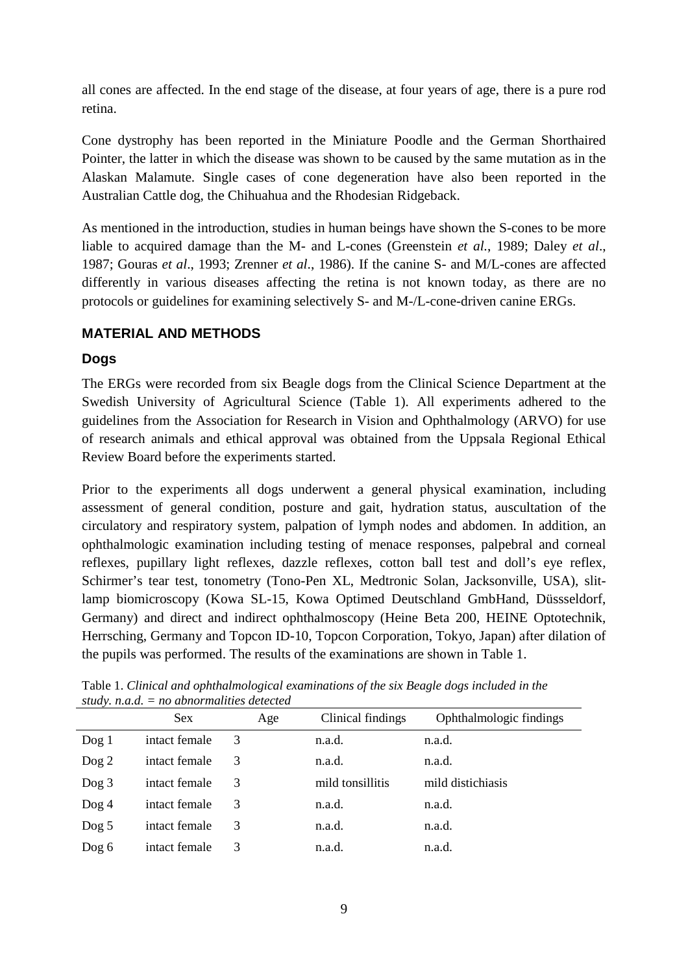all cones are affected. In the end stage of the disease, at four years of age, there is a pure rod retina.

Cone dystrophy has been reported in the Miniature Poodle and the German Shorthaired Pointer, the latter in which the disease was shown to be caused by the same mutation as in the Alaskan Malamute. Single cases of cone degeneration have also been reported in the Australian Cattle dog, the Chihuahua and the Rhodesian Ridgeback.

As mentioned in the introduction, studies in human beings have shown the S-cones to be more liable to acquired damage than the M- and L-cones (Greenstein *et al.*, 1989; Daley *et al*., 1987; Gouras *et al*., 1993; Zrenner *et al*., 1986). If the canine S- and M/L-cones are affected differently in various diseases affecting the retina is not known today, as there are no protocols or guidelines for examining selectively S- and M-/L-cone-driven canine ERGs.

# **MATERIAL AND METHODS**

# **Dogs**

The ERGs were recorded from six Beagle dogs from the Clinical Science Department at the Swedish University of Agricultural Science (Table 1). All experiments adhered to the guidelines from the Association for Research in Vision and Ophthalmology (ARVO) for use of research animals and ethical approval was obtained from the Uppsala Regional Ethical Review Board before the experiments started.

Prior to the experiments all dogs underwent a general physical examination, including assessment of general condition, posture and gait, hydration status, auscultation of the circulatory and respiratory system, palpation of lymph nodes and abdomen. In addition, an ophthalmologic examination including testing of menace responses, palpebral and corneal reflexes, pupillary light reflexes, dazzle reflexes, cotton ball test and doll's eye reflex, Schirmer's tear test, tonometry (Tono-Pen XL, Medtronic Solan, Jacksonville, USA), slitlamp biomicroscopy (Kowa SL-15, Kowa Optimed Deutschland GmbHand, Düssseldorf, Germany) and direct and indirect ophthalmoscopy (Heine Beta 200, HEINE Optotechnik, Herrsching, Germany and Topcon ID-10, Topcon Corporation, Tokyo, Japan) after dilation of the pupils was performed. The results of the examinations are shown in Table 1.

|          | $\mu$ , $\mu$ , $\mu$ , $\mu$ , $\mu$ , $\mu$ , $\mu$ , $\mu$ , $\mu$ , $\mu$ , $\mu$ , $\mu$ , $\mu$ , $\mu$ |     |                   |                         |  |
|----------|---------------------------------------------------------------------------------------------------------------|-----|-------------------|-------------------------|--|
|          | <b>Sex</b>                                                                                                    | Age | Clinical findings | Ophthalmologic findings |  |
| $\log 1$ | intact female                                                                                                 | 3   | n.a.d.            | n.a.d.                  |  |
| $\log 2$ | intact female                                                                                                 | 3   | n.a.d.            | n.a.d.                  |  |
| $\log 3$ | intact female                                                                                                 | 3   | mild tonsillitis  | mild distichiasis       |  |
| $\log 4$ | intact female                                                                                                 | 3   | n.a.d.            | n.a.d.                  |  |
| $\log 5$ | intact female                                                                                                 | 3   | n.a.d.            | n.a.d.                  |  |
| $\log 6$ | intact female                                                                                                 | 3   | n.a.d.            | n.a.d.                  |  |

Table 1. *Clinical and ophthalmological examinations of the six Beagle dogs included in the study. n.a.d. = no abnormalities detected*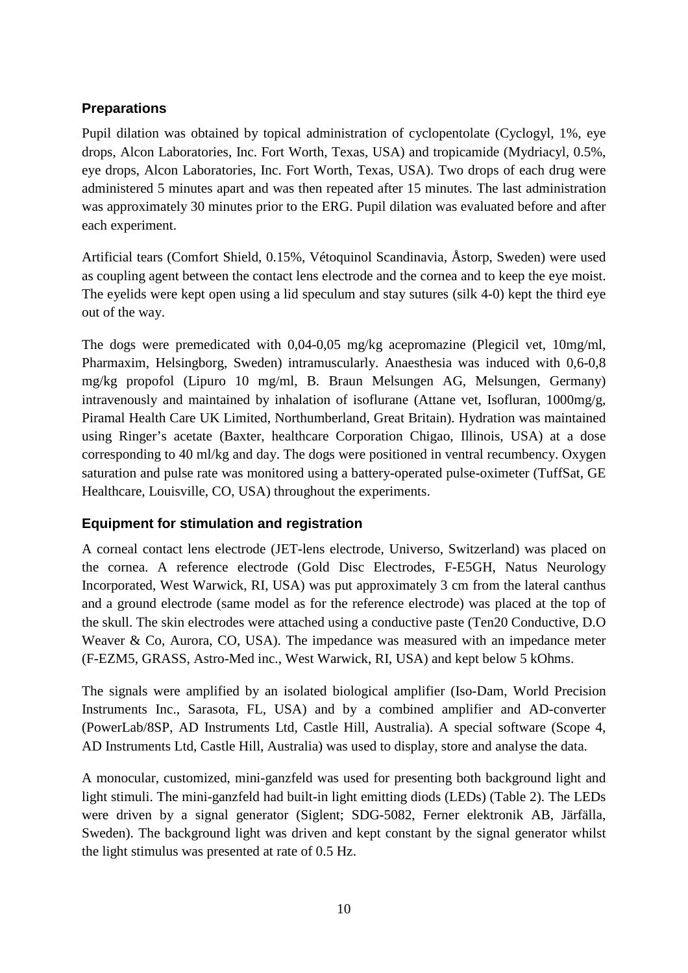# **Preparations**

Pupil dilation was obtained by topical administration of cyclopentolate (Cyclogyl, 1%, eye drops, Alcon Laboratories, Inc. Fort Worth, Texas, USA) and tropicamide (Mydriacyl, 0.5%, eye drops, Alcon Laboratories, Inc. Fort Worth, Texas, USA). Two drops of each drug were administered 5 minutes apart and was then repeated after 15 minutes. The last administration was approximately 30 minutes prior to the ERG. Pupil dilation was evaluated before and after each experiment.

Artificial tears (Comfort Shield, 0.15%, Vétoquinol Scandinavia, Åstorp, Sweden) were used as coupling agent between the contact lens electrode and the cornea and to keep the eye moist. The eyelids were kept open using a lid speculum and stay sutures (silk 4-0) kept the third eye out of the way.

The dogs were premedicated with 0,04-0,05 mg/kg acepromazine (Plegicil vet, 10mg/ml, Pharmaxim, Helsingborg, Sweden) intramuscularly. Anaesthesia was induced with 0,6-0,8 mg/kg propofol (Lipuro 10 mg/ml, B. Braun Melsungen AG, Melsungen, Germany) intravenously and maintained by inhalation of isoflurane (Attane vet, Isofluran, 1000mg/g, Piramal Health Care UK Limited, Northumberland, Great Britain). Hydration was maintained using Ringer's acetate (Baxter, healthcare Corporation Chigao, Illinois, USA) at a dose corresponding to 40 ml/kg and day. The dogs were positioned in ventral recumbency. Oxygen saturation and pulse rate was monitored using a battery-operated pulse-oximeter (TuffSat, GE Healthcare, Louisville, CO, USA) throughout the experiments.

# **Equipment for stimulation and registration**

A corneal contact lens electrode (JET-lens electrode, Universo, Switzerland) was placed on the cornea. A reference electrode (Gold Disc Electrodes, F-E5GH, Natus Neurology Incorporated, West Warwick, RI, USA) was put approximately 3 cm from the lateral canthus and a ground electrode (same model as for the reference electrode) was placed at the top of the skull. The skin electrodes were attached using a conductive paste (Ten20 Conductive, D.O Weaver & Co, Aurora, CO, USA). The impedance was measured with an impedance meter (F-EZM5, GRASS, Astro-Med inc., West Warwick, RI, USA) and kept below 5 kOhms.

The signals were amplified by an isolated biological amplifier (Iso-Dam, World Precision Instruments Inc., Sarasota, FL, USA) and by a combined amplifier and AD-converter (PowerLab/8SP, AD Instruments Ltd, Castle Hill, Australia). A special software (Scope 4, AD Instruments Ltd, Castle Hill, Australia) was used to display, store and analyse the data.

A monocular, customized, mini-ganzfeld was used for presenting both background light and light stimuli. The mini-ganzfeld had built-in light emitting diods (LEDs) (Table 2). The LEDs were driven by a signal generator (Siglent; SDG-5082, Ferner elektronik AB, Järfälla, Sweden). The background light was driven and kept constant by the signal generator whilst the light stimulus was presented at rate of 0.5 Hz.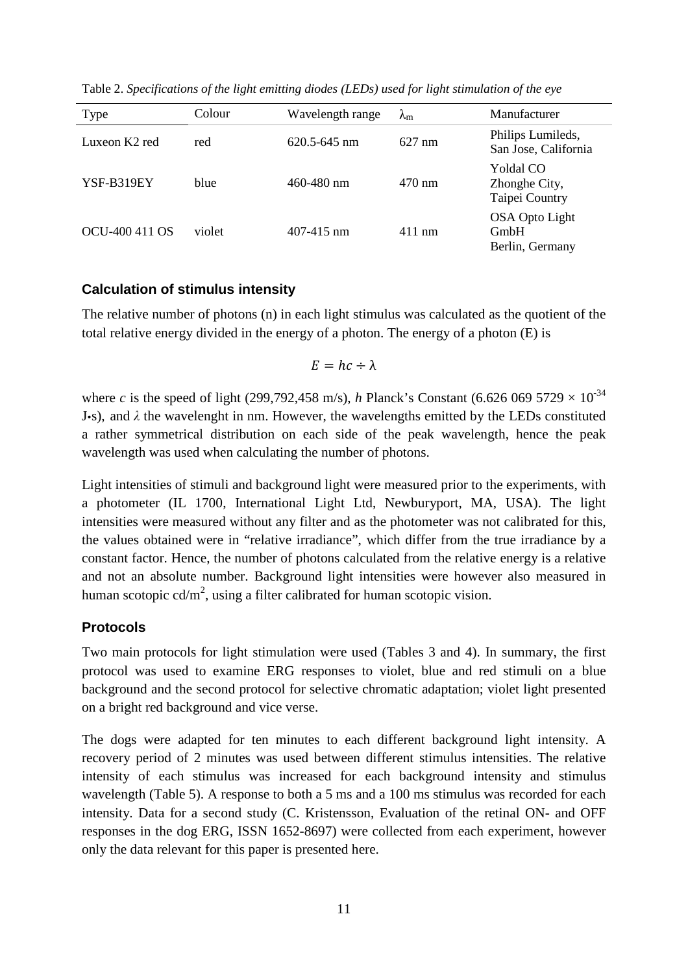| Type           | Colour | Wavelength range | $\lambda_{\rm m}$ | Manufacturer                                 |
|----------------|--------|------------------|-------------------|----------------------------------------------|
| Luxeon K2 red  | red    | $620.5 - 645$ nm | $627 \text{ nm}$  | Philips Lumileds,<br>San Jose, California    |
| YSF-B319EY     | blue   | $460 - 480$ nm   | $470 \text{ nm}$  | Yoldal CO<br>Zhonghe City,<br>Taipei Country |
| OCU-400 411 OS | violet | 407-415 nm       | $411$ nm          | OSA Opto Light<br>GmbH<br>Berlin, Germany    |

Table 2. *Specifications of the light emitting diodes (LEDs) used for light stimulation of the eye*

# **Calculation of stimulus intensity**

The relative number of photons (n) in each light stimulus was calculated as the quotient of the total relative energy divided in the energy of a photon. The energy of a photon (E) is

$$
E = hc \div \lambda
$$

where *c* is the speed of light (299,792,458 m/s), *h* Planck's Constant (6.626 069 5729  $\times$  10<sup>-34</sup> **J**•s), and  $λ$  the wavelenght in nm. However, the wavelengths emitted by the LEDs constituted a rather symmetrical distribution on each side of the peak wavelength, hence the peak wavelength was used when calculating the number of photons.

Light intensities of stimuli and background light were measured prior to the experiments, with a photometer (IL 1700, International Light Ltd, Newburyport, MA, USA). The light intensities were measured without any filter and as the photometer was not calibrated for this, the values obtained were in "relative irradiance", which differ from the true irradiance by a constant factor. Hence, the number of photons calculated from the relative energy is a relative and not an absolute number. Background light intensities were however also measured in human scotopic  $cd/m^2$ , using a filter calibrated for human scotopic vision.

# **Protocols**

Two main protocols for light stimulation were used (Tables 3 and 4). In summary, the first protocol was used to examine ERG responses to violet, blue and red stimuli on a blue background and the second protocol for selective chromatic adaptation; violet light presented on a bright red background and vice verse.

The dogs were adapted for ten minutes to each different background light intensity. A recovery period of 2 minutes was used between different stimulus intensities. The relative intensity of each stimulus was increased for each background intensity and stimulus wavelength (Table 5). A response to both a 5 ms and a 100 ms stimulus was recorded for each intensity. Data for a second study (C. Kristensson, Evaluation of the retinal ON- and OFF responses in the dog ERG, ISSN 1652-8697) were collected from each experiment, however only the data relevant for this paper is presented here.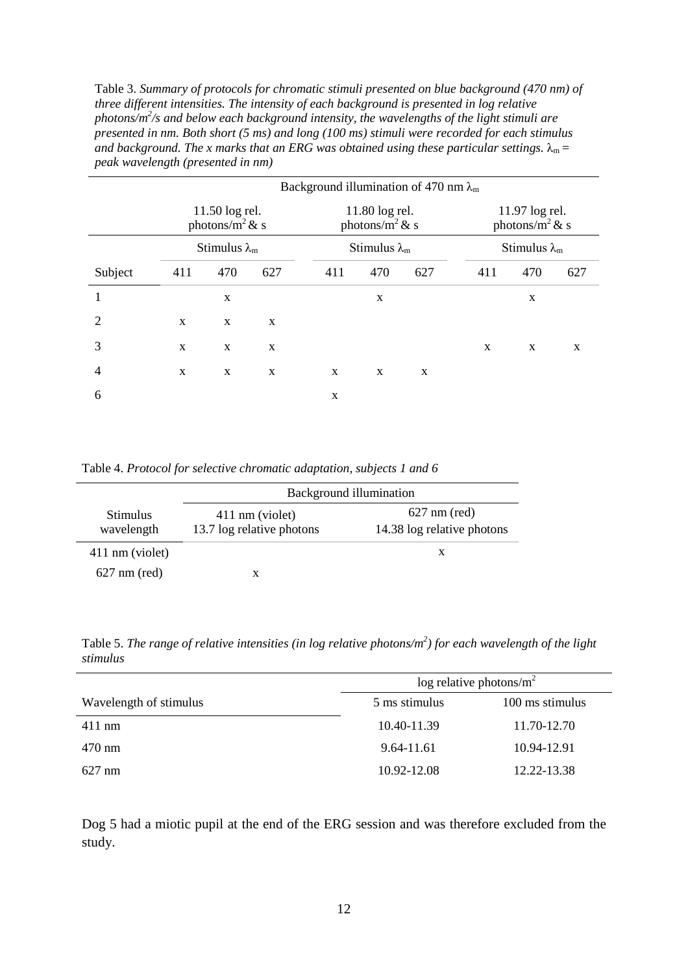Table 3. *Summary of protocols for chromatic stimuli presented on blue background (470 nm) of three different intensities. The intensity of each background is presented in log relative photons/m2 /s and below each background intensity, the wavelengths of the light stimuli are presented in nm. Both short (5 ms) and long (100 ms) stimuli were recorded for each stimulus and background. The x marks that an ERG was obtained using these particular settings.*  $\lambda_m =$ *peak wavelength (presented in nm)*

|                | Background illumination of 470 nm $\lambda_{m}$ |                                       |     |             |                                      |     |     |                                       |     |
|----------------|-------------------------------------------------|---------------------------------------|-----|-------------|--------------------------------------|-----|-----|---------------------------------------|-----|
|                |                                                 | 11.50 log rel.<br>photons/ $m^2 \& s$ |     |             | 11.80 log rel.<br>photons/ $m^2$ & s |     |     | 11.97 log rel.<br>photons/ $m^2 \& s$ |     |
|                |                                                 | Stimulus $\lambda_m$                  |     |             | Stimulus $\lambda_{m}$               |     |     | Stimulus $\lambda_m$                  |     |
| Subject        | 411                                             | 470                                   | 627 | 411         | 470                                  | 627 | 411 | 470                                   | 627 |
|                |                                                 | $\mathbf X$                           |     |             | X                                    |     |     | X                                     |     |
| 2              | $\mathbf{x}$                                    | X                                     | X   |             |                                      |     |     |                                       |     |
| 3              | X                                               | X                                     | X   |             |                                      |     | X   | X                                     | X   |
| $\overline{4}$ | X                                               | X                                     | X   | $\mathbf X$ | X                                    | X   |     |                                       |     |
| 6              |                                                 |                                       |     | $\mathbf X$ |                                      |     |     |                                       |     |

Table 4. *Protocol for selective chromatic adaptation, subjects 1 and 6*

|                        | Background illumination   |                            |  |  |
|------------------------|---------------------------|----------------------------|--|--|
| <b>Stimulus</b>        | 411 nm (violet)           | $627 \text{ nm}$ (red)     |  |  |
| wavelength             | 13.7 log relative photons | 14.38 log relative photons |  |  |
| 411 nm (violet)        |                           | X                          |  |  |
| $627 \text{ nm}$ (red) | x                         |                            |  |  |

Table 5. *The range of relative intensities (in log relative photons/m<sup>2</sup>) for each wavelength of the light stimulus*

|                        | log relative photons/ $m^2$ |                 |  |
|------------------------|-----------------------------|-----------------|--|
| Wavelength of stimulus | 5 ms stimulus               | 100 ms stimulus |  |
| $411$ nm               | 10.40-11.39                 | 11.70-12.70     |  |
| $470 \text{ nm}$       | 9.64-11.61                  | 10.94-12.91     |  |
| $627 \text{ nm}$       | 10.92-12.08                 | 12.22-13.38     |  |

Dog 5 had a miotic pupil at the end of the ERG session and was therefore excluded from the study.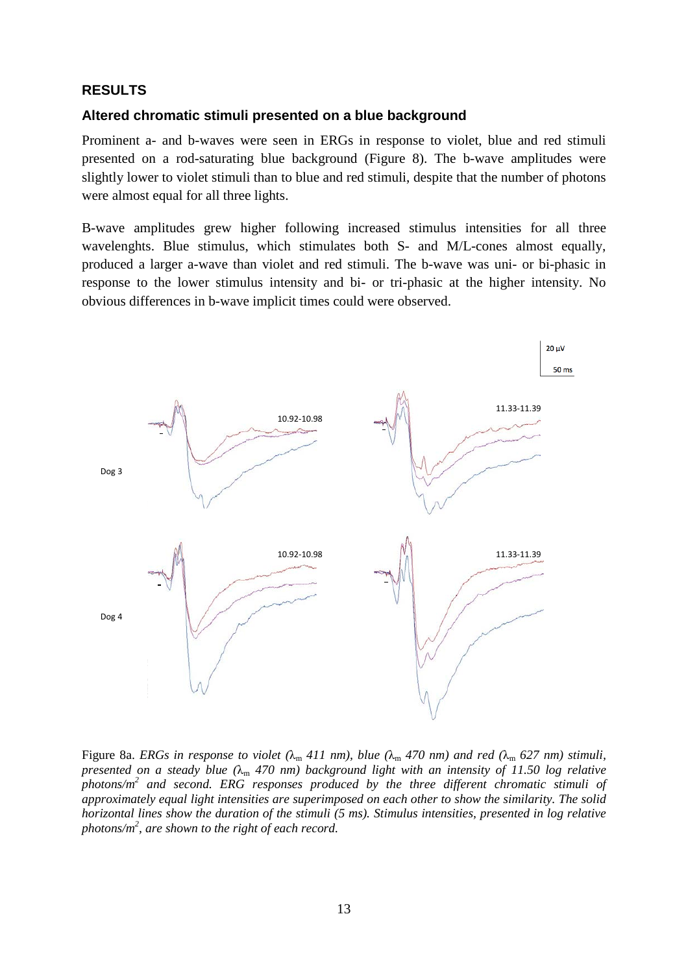## **RESULTS**

## **Altered chromatic stimuli presented on a blue background**

Prominent a- and b-waves were seen in ERGs in response to violet, blue and red stimuli presented on a rod-saturating blue background (Figure 8). The b-wave amplitudes were slightly lower to violet stimuli than to blue and red stimuli, despite that the number of photons were almost equal for all three lights.

B-wave amplitudes grew higher following increased stimulus intensities for all three wavelenghts. Blue stimulus, which stimulates both S- and M/L-cones almost equally, produced a larger a-wave than violet and red stimuli. The b-wave was uni- or bi-phasic in response to the lower stimulus intensity and bi- or tri-phasic at the higher intensity. No obvious differences in b-wave implicit times could were observed.



Figure 8a. *ERGs* in response to violet ( $\lambda_m$  411 nm), blue ( $\lambda_m$  470 nm) and red ( $\lambda_m$  627 nm) stimuli, *presented on a steady blue*  $(\lambda_m 470 \text{ nm})$  *background light with an intensity of 11.50 log relative photons/m2 and second. ERG responses produced by the three different chromatic stimuli of approximately equal light intensities are superimposed on each other to show the similarity. The solid horizontal lines show the duration of the stimuli (5 ms). Stimulus intensities, presented in log relative photons/m2 , are shown to the right of each record.*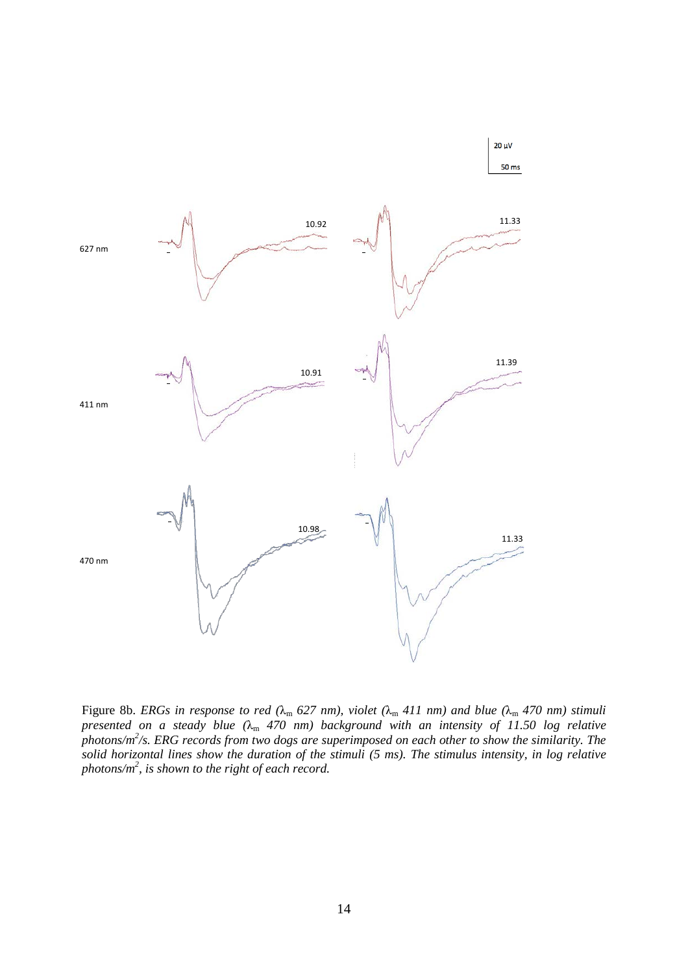

Figure 8b. *ERGs in response to red (*λ<sup>m</sup> *627 nm), violet (*λ<sup>m</sup> *411 nm) and blue (*λ<sup>m</sup> *470 nm) stimuli presented on a steady blue (*λ<sup>m</sup> *470 nm) background with an intensity of 11.50 log relative photons/m2 /s. ERG records from two dogs are superimposed on each other to show the similarity. The solid horizontal lines show the duration of the stimuli (5 ms). The stimulus intensity, in log relative photons/m2 , is shown to the right of each record.*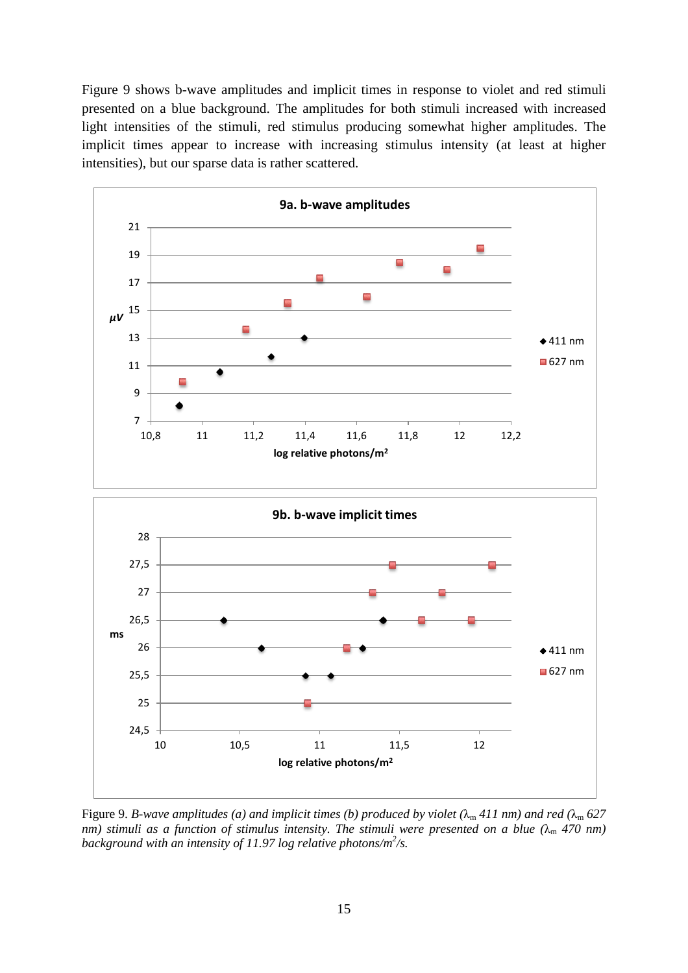Figure 9 shows b-wave amplitudes and implicit times in response to violet and red stimuli presented on a blue background. The amplitudes for both stimuli increased with increased light intensities of the stimuli, red stimulus producing somewhat higher amplitudes. The implicit times appear to increase with increasing stimulus intensity (at least at higher intensities), but our sparse data is rather scattered.



Figure 9. *B*-wave amplitudes (a) and implicit times (b) produced by violet ( $\lambda_m$  411 nm) and red ( $\lambda_m$  627 *nm) stimuli as a function of stimulus intensity. The stimuli were presented on a blue*  $(\lambda_m 470 \text{ nm})$ *background with an intensity of 11.97 log relative photons/m2 /s.*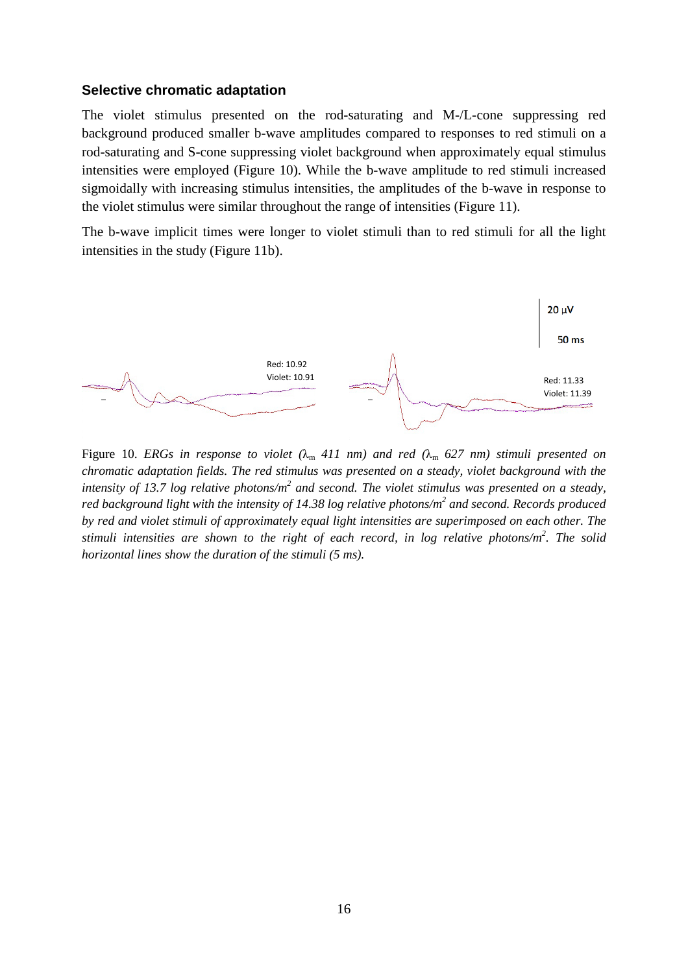#### **Selective chromatic adaptation**

The violet stimulus presented on the rod-saturating and M-/L-cone suppressing red background produced smaller b-wave amplitudes compared to responses to red stimuli on a rod-saturating and S-cone suppressing violet background when approximately equal stimulus intensities were employed (Figure 10). While the b-wave amplitude to red stimuli increased sigmoidally with increasing stimulus intensities, the amplitudes of the b-wave in response to the violet stimulus were similar throughout the range of intensities (Figure 11).

The b-wave implicit times were longer to violet stimuli than to red stimuli for all the light intensities in the study (Figure 11b).



Figure 10. *ERGs in response to violet (*λ<sup>m</sup> *411 nm) and red (*λ<sup>m</sup> *627 nm) stimuli presented on chromatic adaptation fields. The red stimulus was presented on a steady, violet background with the intensity of 13.7 log relative photons/m2 and second. The violet stimulus was presented on a steady, red background light with the intensity of 14.38 log relative photons/m2 and second. Records produced by red and violet stimuli of approximately equal light intensities are superimposed on each other. The stimuli intensities are shown to the right of each record, in log relative photons/m2 . The solid horizontal lines show the duration of the stimuli (5 ms).*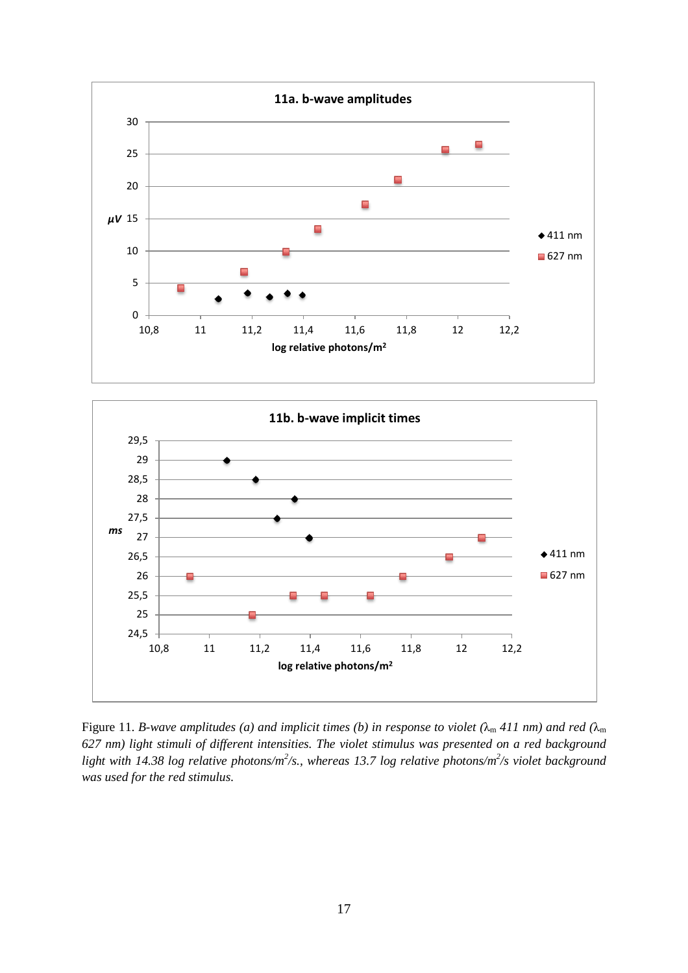



Figure 11. *B*-wave amplitudes (a) and implicit times (b) in response to violet ( $\lambda_m$  411 nm) and red ( $\lambda_m$ ) *627 nm) light stimuli of different intensities. The violet stimulus was presented on a red background* light with 14.38 log relative photons/m<sup>2</sup>/s., whereas 13.7 log relative photons/m<sup>2</sup>/s violet background *was used for the red stimulus.*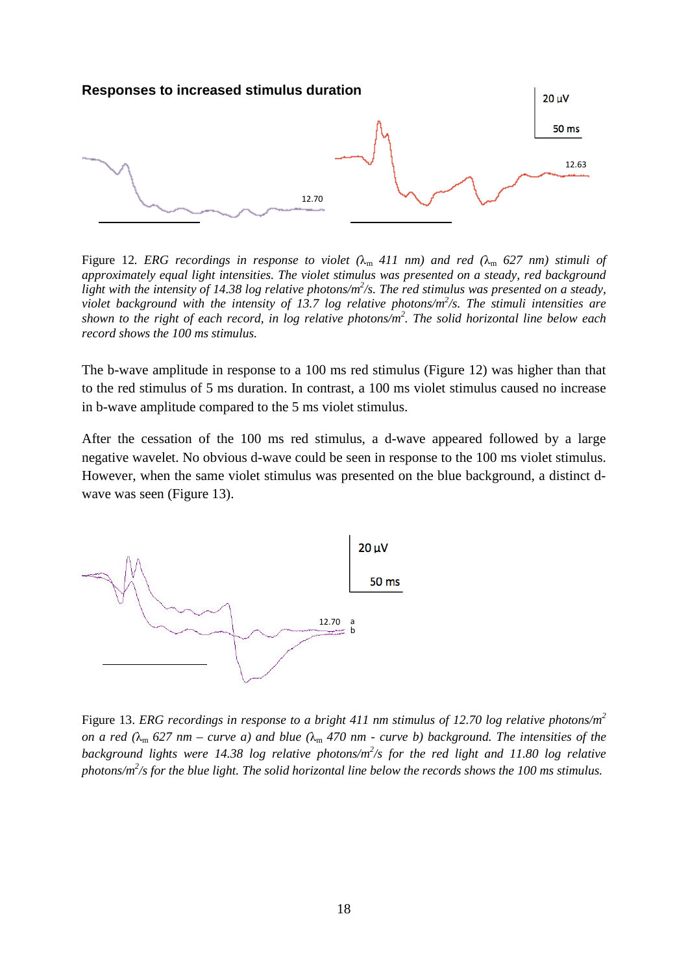

Figure 12. *ERG recordings in response to violet*  $(\lambda_m 411 \text{ nm})$  *and red*  $(\lambda_m 627 \text{ nm})$  *stimuli of approximately equal light intensities. The violet stimulus was presented on a steady, red background*  light with the intensity of 14.38 log relative photons/m<sup>2</sup>/s. The red stimulus was presented on a steady, *violet background with the intensity of 13.7 log relative photons/m2 /s. The stimuli intensities are shown to the right of each record, in log relative photons/m2 . The solid horizontal line below each record shows the 100 ms stimulus.*

The b-wave amplitude in response to a 100 ms red stimulus (Figure 12) was higher than that to the red stimulus of 5 ms duration. In contrast, a 100 ms violet stimulus caused no increase in b-wave amplitude compared to the 5 ms violet stimulus.

After the cessation of the 100 ms red stimulus, a d-wave appeared followed by a large negative wavelet. No obvious d-wave could be seen in response to the 100 ms violet stimulus. However, when the same violet stimulus was presented on the blue background, a distinct dwave was seen (Figure 13).



Figure 13. *ERG recordings in response to a bright 411 nm stimulus of 12.70 log relative photons/m2 on a red*  $(\lambda_m 627 \text{ nm} - \text{curve } a)$  *and blue*  $(\lambda_m 470 \text{ nm} - \text{curve } b)$  *background. The intensities of the background lights were 14.38 log relative photons/m<sup>2</sup>/s for the red light and 11.80 log relative photons/m2 /s for the blue light. The solid horizontal line below the records shows the 100 ms stimulus.*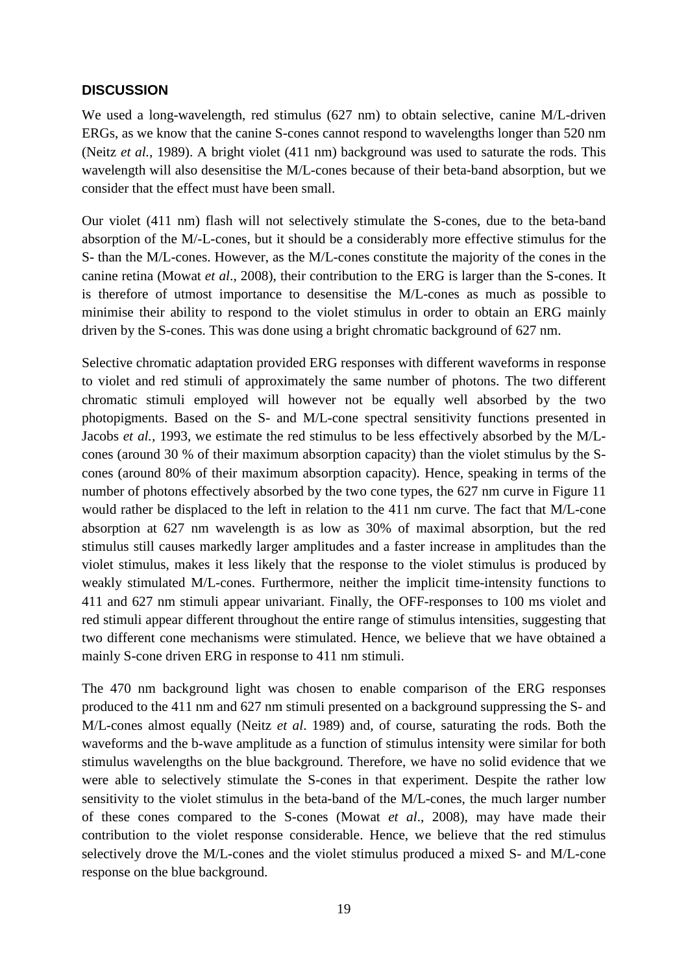# **DISCUSSION**

We used a long-wavelength, red stimulus (627 nm) to obtain selective, canine M/L-driven ERGs, as we know that the canine S-cones cannot respond to wavelengths longer than 520 nm (Neitz *et al.,* 1989). A bright violet (411 nm) background was used to saturate the rods. This wavelength will also desensitise the M/L-cones because of their beta-band absorption, but we consider that the effect must have been small.

Our violet (411 nm) flash will not selectively stimulate the S-cones, due to the beta-band absorption of the M/-L-cones, but it should be a considerably more effective stimulus for the S- than the M/L-cones. However, as the M/L-cones constitute the majority of the cones in the canine retina (Mowat *et al*., 2008), their contribution to the ERG is larger than the S-cones. It is therefore of utmost importance to desensitise the M/L-cones as much as possible to minimise their ability to respond to the violet stimulus in order to obtain an ERG mainly driven by the S-cones. This was done using a bright chromatic background of 627 nm.

Selective chromatic adaptation provided ERG responses with different waveforms in response to violet and red stimuli of approximately the same number of photons. The two different chromatic stimuli employed will however not be equally well absorbed by the two photopigments. Based on the S- and M/L-cone spectral sensitivity functions presented in Jacobs *et al.,* 1993, we estimate the red stimulus to be less effectively absorbed by the M/Lcones (around 30 % of their maximum absorption capacity) than the violet stimulus by the Scones (around 80% of their maximum absorption capacity). Hence, speaking in terms of the number of photons effectively absorbed by the two cone types, the 627 nm curve in Figure 11 would rather be displaced to the left in relation to the 411 nm curve. The fact that M/L-cone absorption at 627 nm wavelength is as low as 30% of maximal absorption, but the red stimulus still causes markedly larger amplitudes and a faster increase in amplitudes than the violet stimulus, makes it less likely that the response to the violet stimulus is produced by weakly stimulated M/L-cones. Furthermore, neither the implicit time-intensity functions to 411 and 627 nm stimuli appear univariant. Finally, the OFF-responses to 100 ms violet and red stimuli appear different throughout the entire range of stimulus intensities, suggesting that two different cone mechanisms were stimulated. Hence, we believe that we have obtained a mainly S-cone driven ERG in response to 411 nm stimuli.

The 470 nm background light was chosen to enable comparison of the ERG responses produced to the 411 nm and 627 nm stimuli presented on a background suppressing the S- and M/L-cones almost equally (Neitz *et al*. 1989) and, of course, saturating the rods. Both the waveforms and the b-wave amplitude as a function of stimulus intensity were similar for both stimulus wavelengths on the blue background. Therefore, we have no solid evidence that we were able to selectively stimulate the S-cones in that experiment. Despite the rather low sensitivity to the violet stimulus in the beta-band of the M/L-cones, the much larger number of these cones compared to the S-cones (Mowat *et al*., 2008), may have made their contribution to the violet response considerable. Hence, we believe that the red stimulus selectively drove the M/L-cones and the violet stimulus produced a mixed S- and M/L-cone response on the blue background.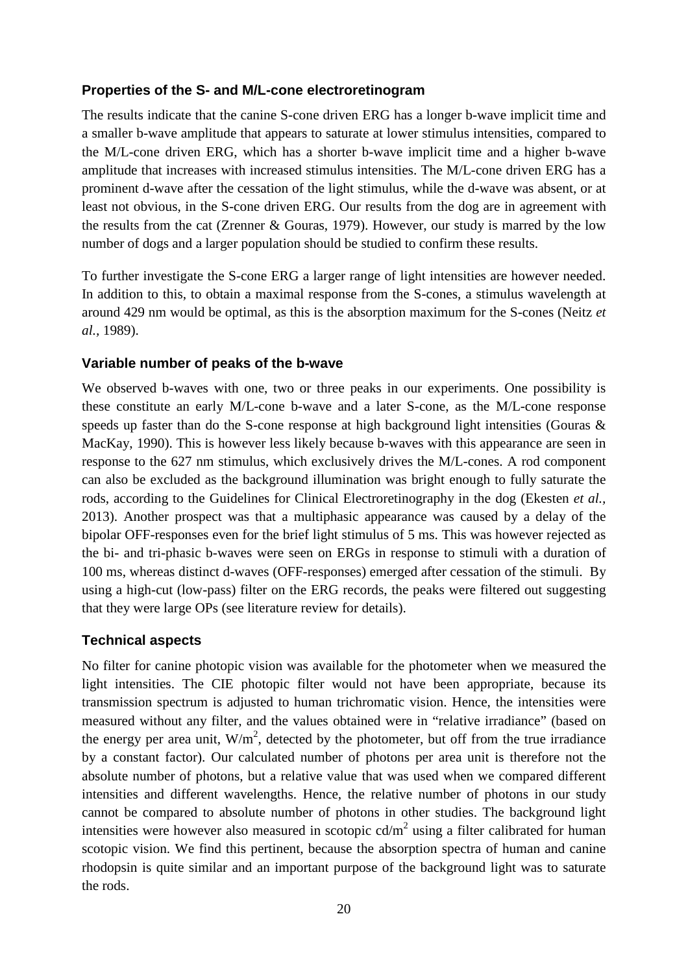# **Properties of the S- and M/L-cone electroretinogram**

The results indicate that the canine S-cone driven ERG has a longer b-wave implicit time and a smaller b-wave amplitude that appears to saturate at lower stimulus intensities, compared to the M/L-cone driven ERG, which has a shorter b-wave implicit time and a higher b-wave amplitude that increases with increased stimulus intensities. The M/L-cone driven ERG has a prominent d-wave after the cessation of the light stimulus, while the d-wave was absent, or at least not obvious, in the S-cone driven ERG. Our results from the dog are in agreement with the results from the cat (Zrenner & Gouras, 1979). However, our study is marred by the low number of dogs and a larger population should be studied to confirm these results.

To further investigate the S-cone ERG a larger range of light intensities are however needed. In addition to this, to obtain a maximal response from the S-cones, a stimulus wavelength at around 429 nm would be optimal, as this is the absorption maximum for the S-cones (Neitz *et al.,* 1989).

## **Variable number of peaks of the b-wave**

We observed b-waves with one, two or three peaks in our experiments. One possibility is these constitute an early M/L-cone b-wave and a later S-cone, as the M/L-cone response speeds up faster than do the S-cone response at high background light intensities (Gouras & MacKay, 1990). This is however less likely because b-waves with this appearance are seen in response to the 627 nm stimulus, which exclusively drives the M/L-cones. A rod component can also be excluded as the background illumination was bright enough to fully saturate the rods, according to the Guidelines for Clinical Electroretinography in the dog (Ekesten *et al.,* 2013). Another prospect was that a multiphasic appearance was caused by a delay of the bipolar OFF-responses even for the brief light stimulus of 5 ms. This was however rejected as the bi- and tri-phasic b-waves were seen on ERGs in response to stimuli with a duration of 100 ms, whereas distinct d-waves (OFF-responses) emerged after cessation of the stimuli. By using a high-cut (low-pass) filter on the ERG records, the peaks were filtered out suggesting that they were large OPs (see literature review for details).

# **Technical aspects**

No filter for canine photopic vision was available for the photometer when we measured the light intensities. The CIE photopic filter would not have been appropriate, because its transmission spectrum is adjusted to human trichromatic vision. Hence, the intensities were measured without any filter, and the values obtained were in "relative irradiance" (based on the energy per area unit,  $W/m^2$ , detected by the photometer, but off from the true irradiance by a constant factor). Our calculated number of photons per area unit is therefore not the absolute number of photons, but a relative value that was used when we compared different intensities and different wavelengths. Hence, the relative number of photons in our study cannot be compared to absolute number of photons in other studies. The background light intensities were however also measured in scotopic  $cd/m^2$  using a filter calibrated for human scotopic vision. We find this pertinent, because the absorption spectra of human and canine rhodopsin is quite similar and an important purpose of the background light was to saturate the rods.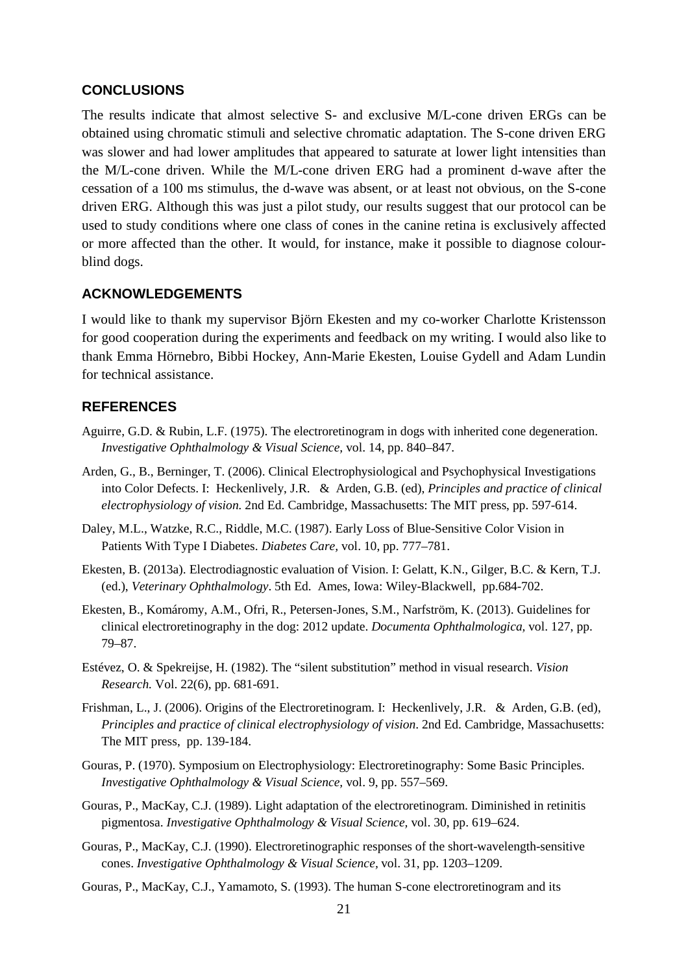## **CONCLUSIONS**

The results indicate that almost selective S- and exclusive M/L-cone driven ERGs can be obtained using chromatic stimuli and selective chromatic adaptation. The S-cone driven ERG was slower and had lower amplitudes that appeared to saturate at lower light intensities than the M/L-cone driven. While the M/L-cone driven ERG had a prominent d-wave after the cessation of a 100 ms stimulus, the d-wave was absent, or at least not obvious, on the S-cone driven ERG. Although this was just a pilot study, our results suggest that our protocol can be used to study conditions where one class of cones in the canine retina is exclusively affected or more affected than the other. It would, for instance, make it possible to diagnose colourblind dogs.

## **ACKNOWLEDGEMENTS**

I would like to thank my supervisor Björn Ekesten and my co-worker Charlotte Kristensson for good cooperation during the experiments and feedback on my writing. I would also like to thank Emma Hörnebro, Bibbi Hockey, Ann-Marie Ekesten, Louise Gydell and Adam Lundin for technical assistance.

## **REFERENCES**

- Aguirre, G.D. & Rubin, L.F. (1975). The electroretinogram in dogs with inherited cone degeneration. *Investigative Ophthalmology & Visual Science,* vol. 14, pp. 840–847.
- Arden, G., B., Berninger, T. (2006). Clinical Electrophysiological and Psychophysical Investigations into Color Defects. I: Heckenlively, J.R. & Arden, G.B. (ed), *Principles and practice of clinical electrophysiology of vision.* 2nd Ed. Cambridge, Massachusetts: The MIT press, pp. 597-614.
- Daley, M.L., Watzke, R.C., Riddle, M.C. (1987). Early Loss of Blue-Sensitive Color Vision in Patients With Type I Diabetes. *Diabetes Care,* vol. 10, pp. 777–781.
- Ekesten, B. (2013a). Electrodiagnostic evaluation of Vision. I: Gelatt, K.N., Gilger, B.C. & Kern, T.J. (ed.), *Veterinary Ophthalmology*. 5th Ed. Ames, Iowa: Wiley-Blackwell, pp.684-702.
- Ekesten, B., Komáromy, A.M., Ofri, R., Petersen-Jones, S.M., Narfström, K. (2013). Guidelines for clinical electroretinography in the dog: 2012 update. *Documenta Ophthalmologica,* vol. 127, pp. 79–87.
- Estévez, O. & Spekreijse, H. (1982). The "silent substitution" method in visual research. *Vision Research.* Vol. 22(6), pp. 681-691.
- Frishman, L., J. (2006). Origins of the Electroretinogram. I: Heckenlively, J.R. & Arden, G.B. (ed), *Principles and practice of clinical electrophysiology of vision*. 2nd Ed. Cambridge, Massachusetts: The MIT press, pp. 139-184.
- Gouras, P. (1970). Symposium on Electrophysiology: Electroretinography: Some Basic Principles. *Investigative Ophthalmology & Visual Science,* vol. 9, pp. 557–569.
- Gouras, P., MacKay, C.J. (1989). Light adaptation of the electroretinogram. Diminished in retinitis pigmentosa. *Investigative Ophthalmology & Visual Science,* vol. 30, pp. 619–624.
- Gouras, P., MacKay, C.J. (1990). Electroretinographic responses of the short-wavelength-sensitive cones. *Investigative Ophthalmology & Visual Science,* vol. 31, pp. 1203–1209.
- Gouras, P., MacKay, C.J., Yamamoto, S. (1993). The human S-cone electroretinogram and its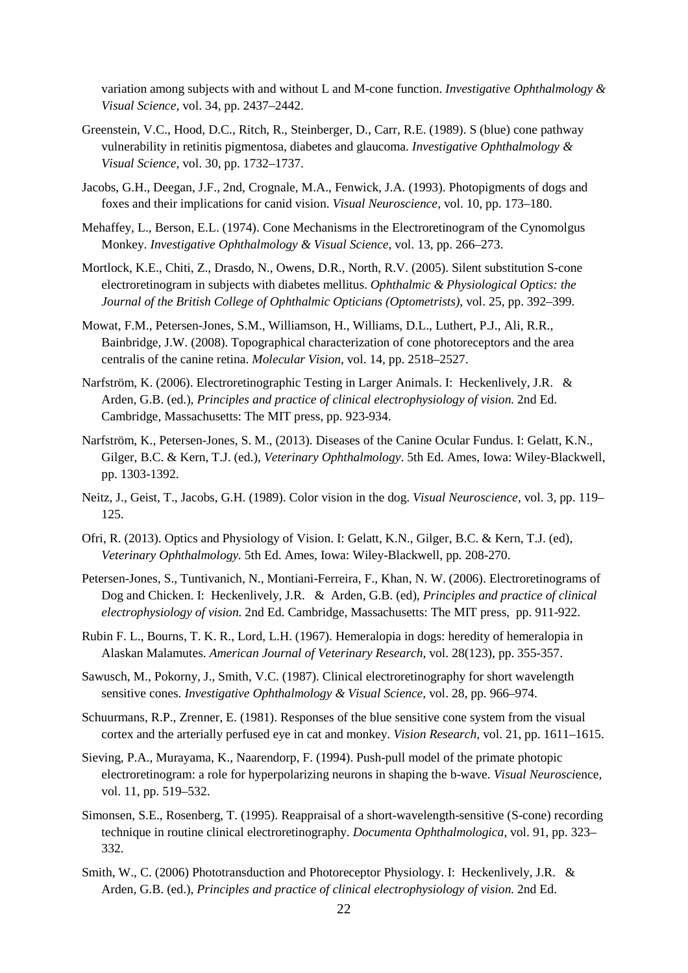variation among subjects with and without L and M-cone function. *Investigative Ophthalmology & Visual Science,* vol. 34, pp. 2437–2442.

- Greenstein, V.C., Hood, D.C., Ritch, R., Steinberger, D., Carr, R.E. (1989). S (blue) cone pathway vulnerability in retinitis pigmentosa, diabetes and glaucoma. *Investigative Ophthalmology & Visual Science,* vol. 30, pp. 1732–1737.
- Jacobs, G.H., Deegan, J.F., 2nd, Crognale, M.A., Fenwick, J.A. (1993). Photopigments of dogs and foxes and their implications for canid vision. *Visual Neuroscience,* vol. 10, pp. 173–180.
- Mehaffey, L., Berson, E.L. (1974). Cone Mechanisms in the Electroretinogram of the Cynomolgus Monkey. *Investigative Ophthalmology & Visual Science,* vol. 13, pp. 266–273.
- Mortlock, K.E., Chiti, Z., Drasdo, N., Owens, D.R., North, R.V. (2005). Silent substitution S-cone electroretinogram in subjects with diabetes mellitus. *Ophthalmic & Physiological Optics: the Journal of the British College of Ophthalmic Opticians (Optometrists),* vol. 25, pp. 392–399.
- Mowat, F.M., Petersen-Jones, S.M., Williamson, H., Williams, D.L., Luthert, P.J., Ali, R.R., Bainbridge, J.W. (2008). Topographical characterization of cone photoreceptors and the area centralis of the canine retina. *Molecular Vision,* vol. 14, pp. 2518–2527.
- Narfström, K. (2006). Electroretinographic Testing in Larger Animals. I: Heckenlively, J.R. & Arden, G.B. (ed.), *Principles and practice of clinical electrophysiology of vision.* 2nd Ed. Cambridge, Massachusetts: The MIT press, pp. 923-934.
- Narfström, K., Petersen-Jones, S. M., (2013). Diseases of the Canine Ocular Fundus. I: Gelatt, K.N., Gilger, B.C. & Kern, T.J. (ed.), *Veterinary Ophthalmology*. 5th Ed. Ames, Iowa: Wiley-Blackwell, pp. 1303-1392.
- Neitz, J., Geist, T., Jacobs, G.H. (1989). Color vision in the dog. *Visual Neuroscience,* vol. 3, pp. 119– 125.
- Ofri, R. (2013). Optics and Physiology of Vision. I: Gelatt, K.N., Gilger, B.C. & Kern, T.J. (ed), *Veterinary Ophthalmology.* 5th Ed. Ames, Iowa: Wiley-Blackwell, pp. 208-270.
- Petersen-Jones, S., Tuntivanich, N., Montiani-Ferreira, F., Khan, N. W. (2006). Electroretinograms of Dog and Chicken. I: Heckenlively, J.R. & Arden, G.B. (ed), *Principles and practice of clinical electrophysiology of vision.* 2nd Ed. Cambridge, Massachusetts: The MIT press, pp. 911-922.
- Rubin F. L., Bourns, T. K. R., Lord, L.H. (1967). Hemeralopia in dogs: heredity of hemeralopia in Alaskan Malamutes. *American Journal of Veterinary Research,* vol. 28(123), pp. 355-357.
- Sawusch, M., Pokorny, J., Smith, V.C. (1987). Clinical electroretinography for short wavelength sensitive cones. *Investigative Ophthalmology & Visual Science,* vol. 28, pp. 966–974.
- Schuurmans, R.P., Zrenner, E. (1981). Responses of the blue sensitive cone system from the visual cortex and the arterially perfused eye in cat and monkey. *Vision Research,* vol. 21, pp. 1611–1615.
- Sieving, P.A., Murayama, K., Naarendorp, F. (1994). Push-pull model of the primate photopic electroretinogram: a role for hyperpolarizing neurons in shaping the b-wave. *Visual Neurosci*ence, vol. 11, pp. 519–532.
- Simonsen, S.E., Rosenberg, T. (1995). Reappraisal of a short-wavelength-sensitive (S-cone) recording technique in routine clinical electroretinography. *Documenta Ophthalmologica,* vol. 91, pp. 323– 332.
- Smith, W., C. (2006) Phototransduction and Photoreceptor Physiology. I: Heckenlively, J.R. & Arden, G.B. (ed.), *Principles and practice of clinical electrophysiology of vision.* 2nd Ed.